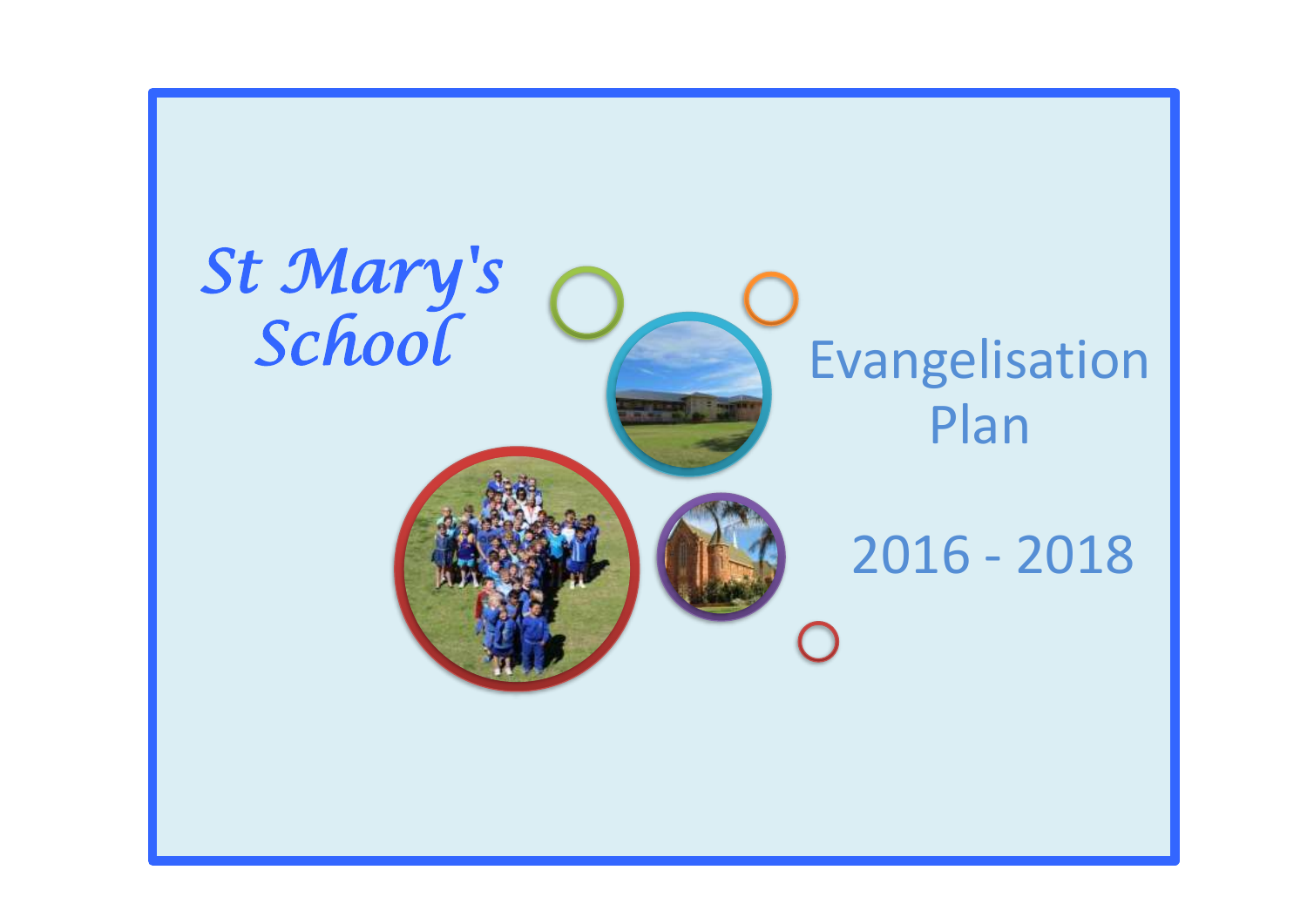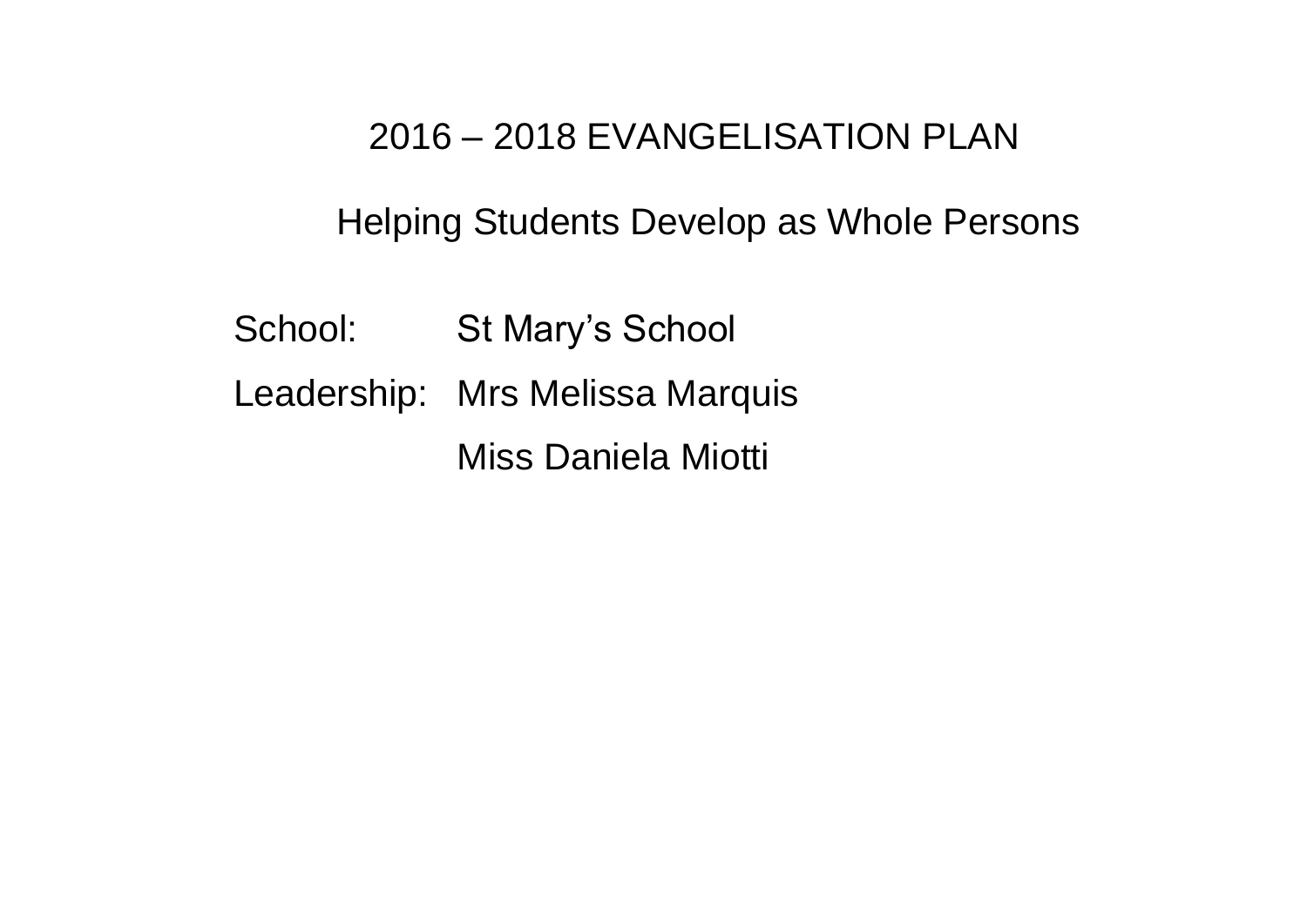# 2016 – 2018 EVANGELISATION PLAN

Helping Students Develop as Whole Persons

- School: St Mary's School
- Leadership: Mrs Melissa Marquis

Miss Daniela Miotti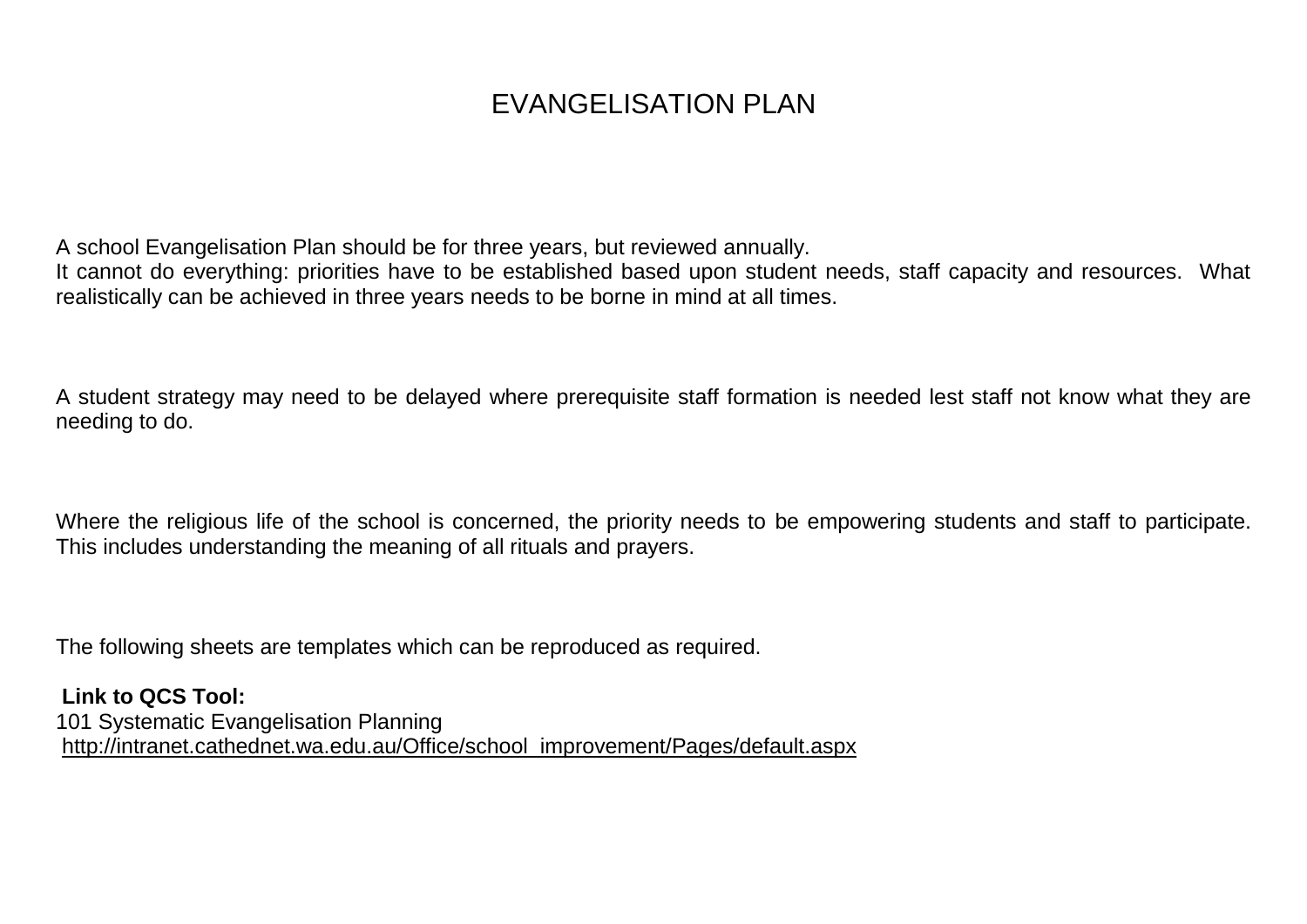# EVANGELISATION PLAN

A school Evangelisation Plan should be for three years, but reviewed annually.

It cannot do everything: priorities have to be established based upon student needs, staff capacity and resources. What realistically can be achieved in three years needs to be borne in mind at all times.

A student strategy may need to be delayed where prerequisite staff formation is needed lest staff not know what they are needing to do.

Where the religious life of the school is concerned, the priority needs to be empowering students and staff to participate. This includes understanding the meaning of all rituals and prayers.

The following sheets are templates which can be reproduced as required.

**Link to QCS Tool:** 101 Systematic Evangelisation Planning [http://intranet.cathednet.wa.edu.au/Office/school\\_improvement/Pages/default.aspx](http://intranet.cathednet.wa.edu.au/Office/school_improvement/Pages/default.aspx)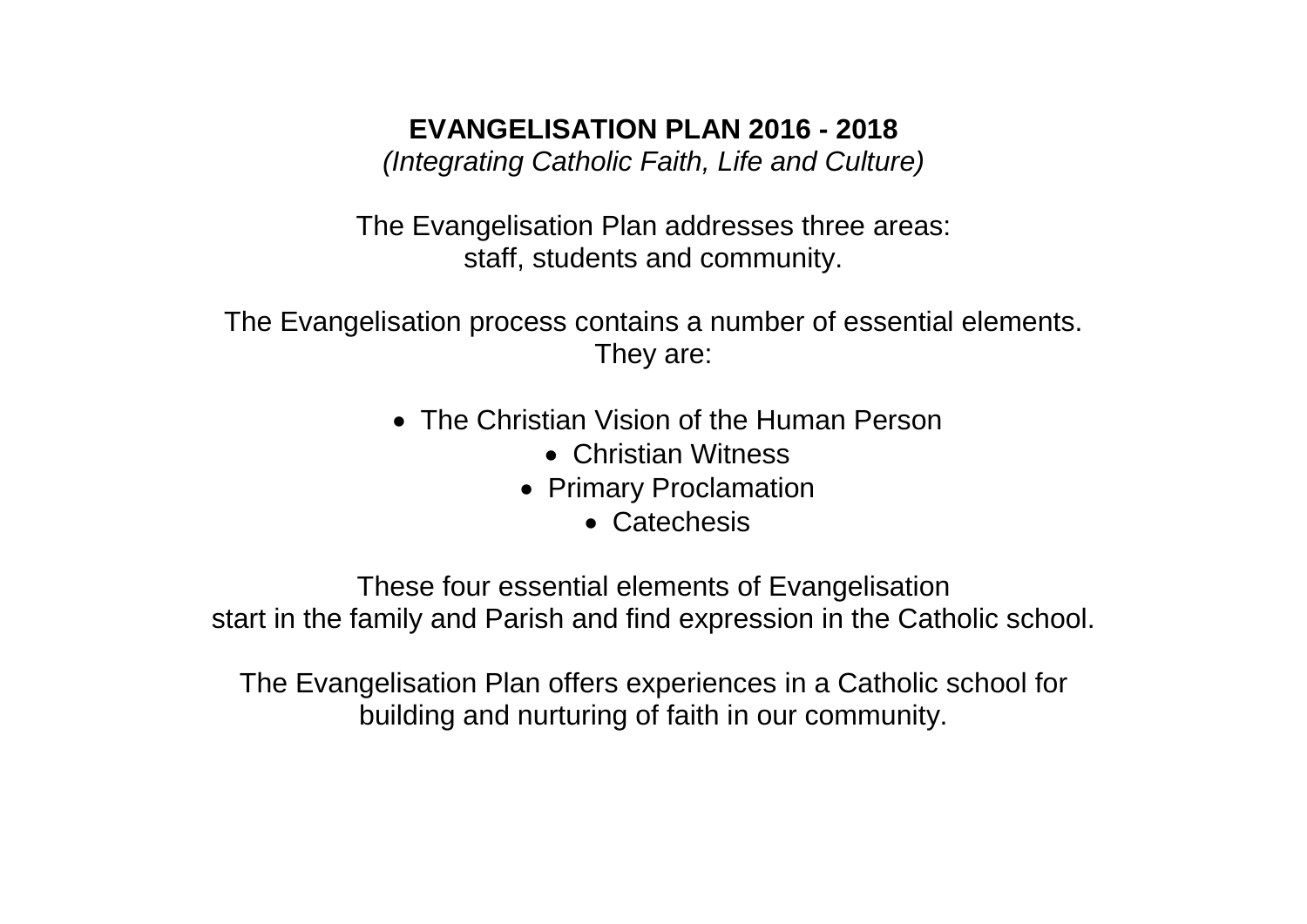# **EVANGELISATION PLAN 2016 - 2018**

*(Integrating Catholic Faith, Life and Culture)*

The Evangelisation Plan addresses three areas: staff, students and community.

The Evangelisation process contains a number of essential elements. They are:

- The Christian Vision of the Human Person
	- Christian Witness
	- Primary Proclamation
		- Catechesis

These four essential elements of Evangelisation start in the family and Parish and find expression in the Catholic school.

The Evangelisation Plan offers experiences in a Catholic school for building and nurturing of faith in our community.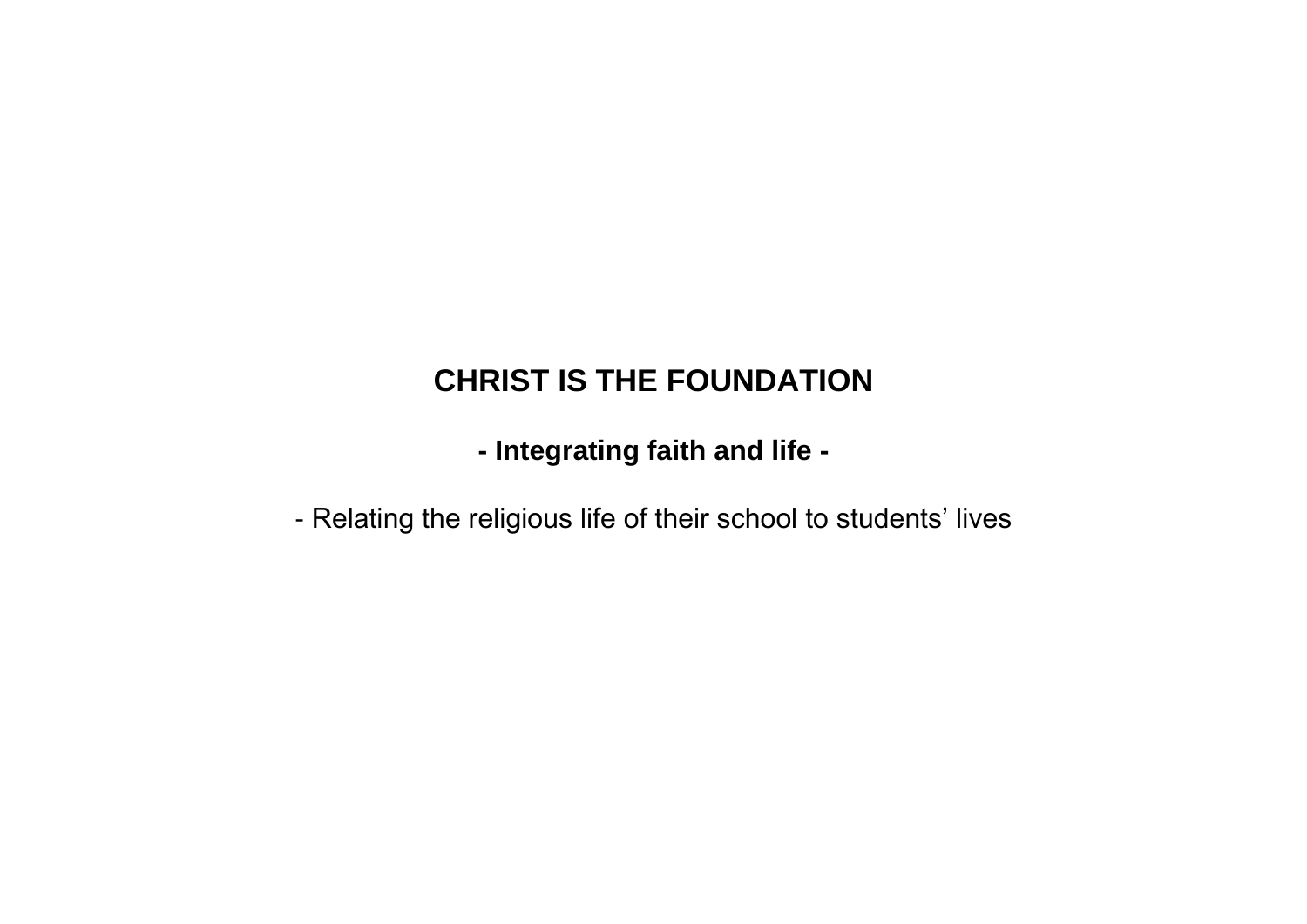# **CHRIST IS THE FOUNDATION**

**- Integrating faith and life -**

- Relating the religious life of their school to students' lives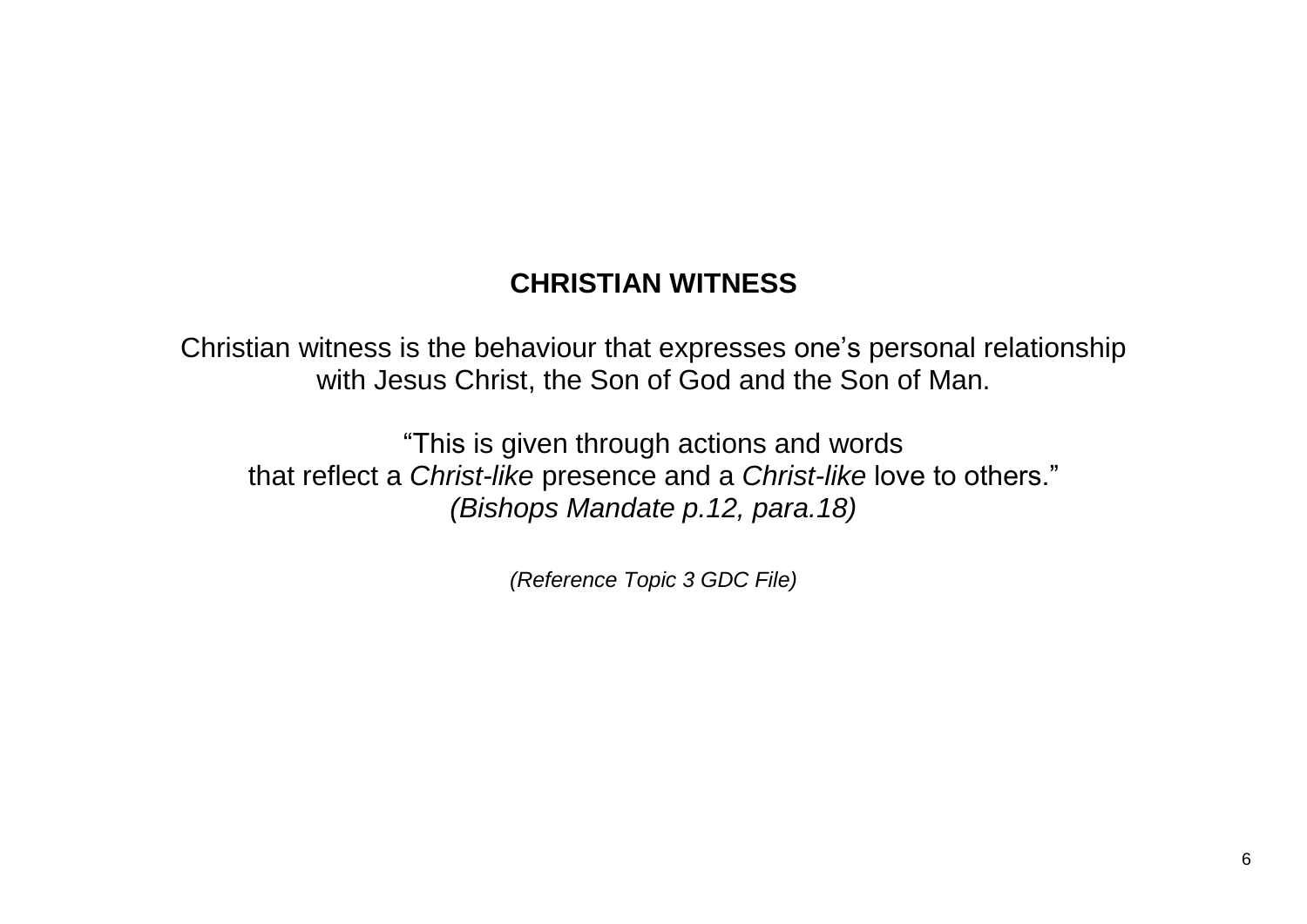# **CHRISTIAN WITNESS**

Christian witness is the behaviour that expresses one's personal relationship with Jesus Christ, the Son of God and the Son of Man.

"This is given through actions and words that reflect a *Christ-like* presence and a *Christ-like* love to others." *(Bishops Mandate p.12, para.18)*

*(Reference Topic 3 GDC File)*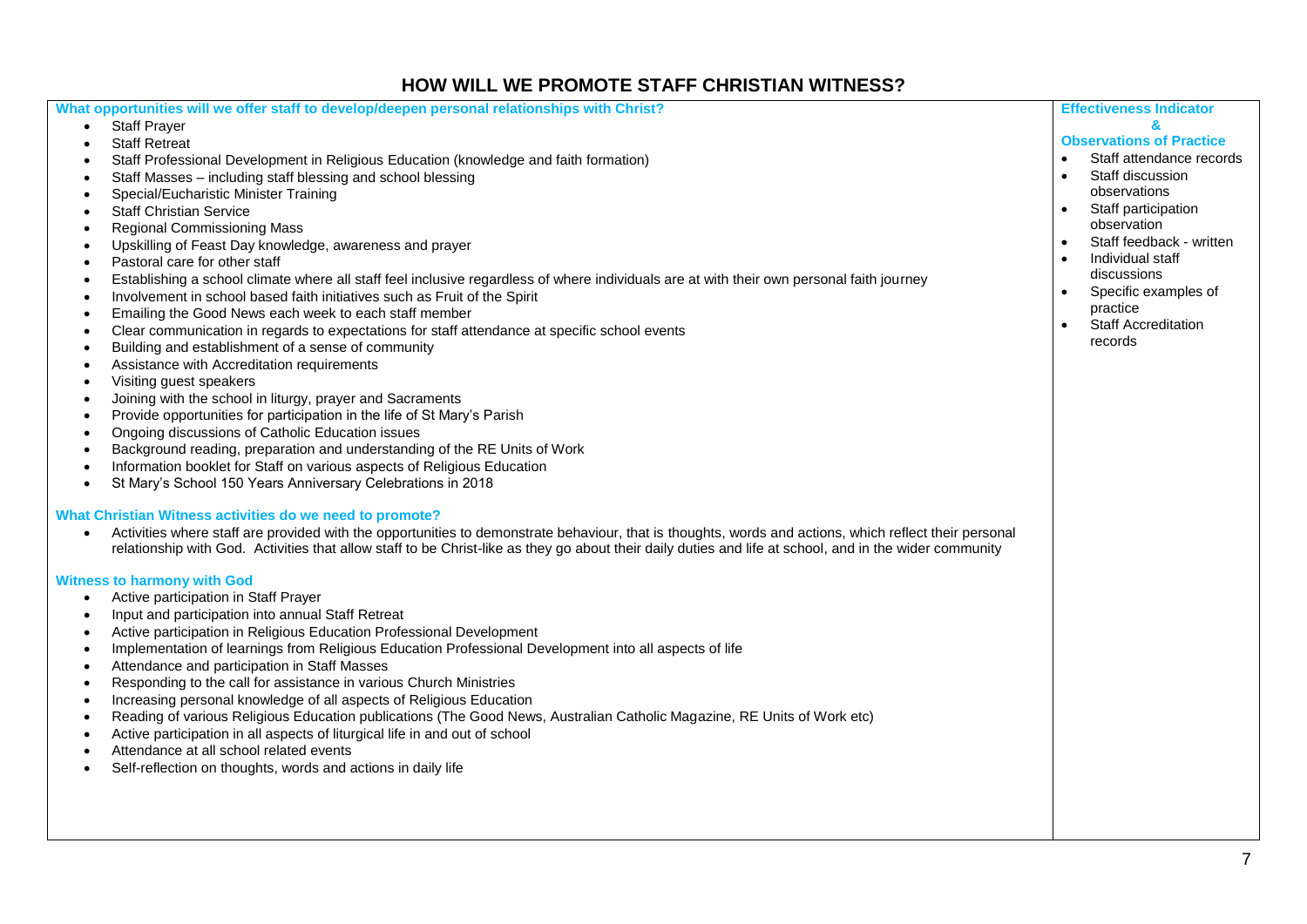## **HOW WILL WE PROMOTE STAFF CHRISTIAN WITNESS?**

| What opportunities will we offer staff to develop/deepen personal relationships with Christ?                                                            | <b>Effectiveness Indicator</b>          |
|---------------------------------------------------------------------------------------------------------------------------------------------------------|-----------------------------------------|
| <b>Staff Prayer</b><br>$\bullet$                                                                                                                        | &                                       |
| <b>Staff Retreat</b>                                                                                                                                    | <b>Observations of Practice</b>         |
|                                                                                                                                                         | Staff attendance records<br>$\bullet$   |
| Staff Professional Development in Religious Education (knowledge and faith formation)                                                                   | Staff discussion                        |
| Staff Masses - including staff blessing and school blessing                                                                                             | $\bullet$<br>observations               |
| Special/Eucharistic Minister Training                                                                                                                   | Staff participation<br>$\bullet$        |
| <b>Staff Christian Service</b>                                                                                                                          |                                         |
| <b>Regional Commissioning Mass</b><br>$\bullet$                                                                                                         | observation                             |
| Upskilling of Feast Day knowledge, awareness and prayer<br>$\bullet$                                                                                    | Staff feedback - written<br>$\bullet$   |
| Pastoral care for other staff<br>$\bullet$                                                                                                              | Individual staff                        |
| Establishing a school climate where all staff feel inclusive regardless of where individuals are at with their own personal faith journey               | discussions                             |
| Involvement in school based faith initiatives such as Fruit of the Spirit<br>$\bullet$                                                                  | Specific examples of                    |
| Emailing the Good News each week to each staff member                                                                                                   | practice                                |
| Clear communication in regards to expectations for staff attendance at specific school events<br>$\bullet$                                              | <b>Staff Accreditation</b><br>$\bullet$ |
| Building and establishment of a sense of community                                                                                                      | records                                 |
| Assistance with Accreditation requirements<br>$\bullet$                                                                                                 |                                         |
| Visiting guest speakers<br>$\bullet$                                                                                                                    |                                         |
| Joining with the school in liturgy, prayer and Sacraments                                                                                               |                                         |
| Provide opportunities for participation in the life of St Mary's Parish                                                                                 |                                         |
| Ongoing discussions of Catholic Education issues                                                                                                        |                                         |
| Background reading, preparation and understanding of the RE Units of Work                                                                               |                                         |
| Information booklet for Staff on various aspects of Religious Education                                                                                 |                                         |
| St Mary's School 150 Years Anniversary Celebrations in 2018<br>$\bullet$                                                                                |                                         |
|                                                                                                                                                         |                                         |
| What Christian Witness activities do we need to promote?                                                                                                |                                         |
| Activities where staff are provided with the opportunities to demonstrate behaviour, that is thoughts, words and actions, which reflect their personal  |                                         |
| relationship with God. Activities that allow staff to be Christ-like as they go about their daily duties and life at school, and in the wider community |                                         |
|                                                                                                                                                         |                                         |
| <b>Witness to harmony with God</b>                                                                                                                      |                                         |
| Active participation in Staff Prayer<br>$\bullet$                                                                                                       |                                         |
| Input and participation into annual Staff Retreat                                                                                                       |                                         |
| Active participation in Religious Education Professional Development<br>$\bullet$                                                                       |                                         |
| Implementation of learnings from Religious Education Professional Development into all aspects of life                                                  |                                         |
| Attendance and participation in Staff Masses                                                                                                            |                                         |
| Responding to the call for assistance in various Church Ministries                                                                                      |                                         |
| Increasing personal knowledge of all aspects of Religious Education<br>$\bullet$                                                                        |                                         |
| Reading of various Religious Education publications (The Good News, Australian Catholic Magazine, RE Units of Work etc)                                 |                                         |
| Active participation in all aspects of liturgical life in and out of school                                                                             |                                         |
| Attendance at all school related events                                                                                                                 |                                         |
| Self-reflection on thoughts, words and actions in daily life<br>$\bullet$                                                                               |                                         |
|                                                                                                                                                         |                                         |
|                                                                                                                                                         |                                         |
|                                                                                                                                                         |                                         |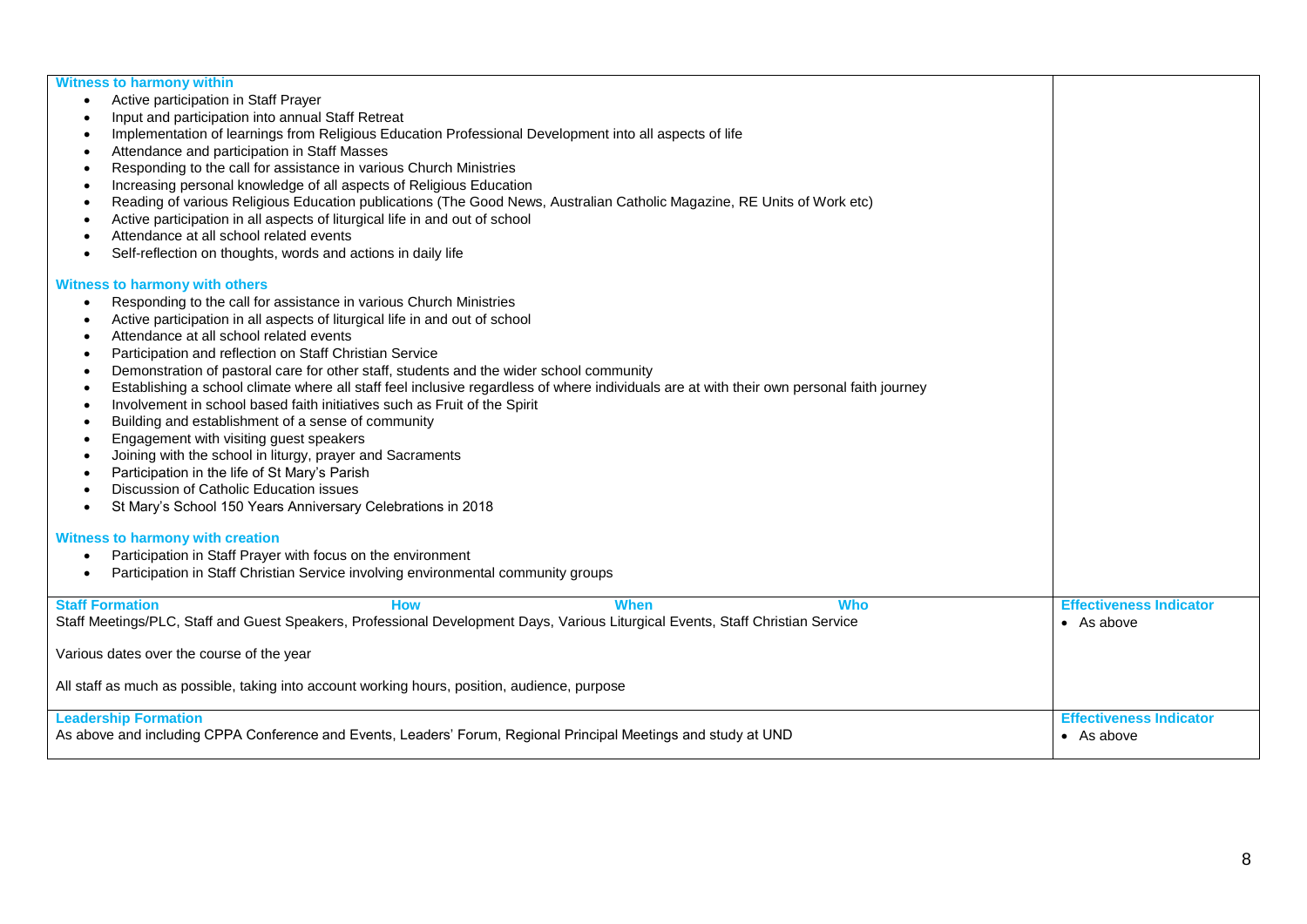| <b>Witness to harmony within</b>                                                                                                               |                                |
|------------------------------------------------------------------------------------------------------------------------------------------------|--------------------------------|
| Active participation in Staff Prayer                                                                                                           |                                |
| Input and participation into annual Staff Retreat                                                                                              |                                |
| Implementation of learnings from Religious Education Professional Development into all aspects of life                                         |                                |
| Attendance and participation in Staff Masses                                                                                                   |                                |
| Responding to the call for assistance in various Church Ministries                                                                             |                                |
| Increasing personal knowledge of all aspects of Religious Education                                                                            |                                |
| Reading of various Religious Education publications (The Good News, Australian Catholic Magazine, RE Units of Work etc)                        |                                |
| Active participation in all aspects of liturgical life in and out of school                                                                    |                                |
| Attendance at all school related events                                                                                                        |                                |
| Self-reflection on thoughts, words and actions in daily life                                                                                   |                                |
| Witness to harmony with others                                                                                                                 |                                |
| Responding to the call for assistance in various Church Ministries<br>$\bullet$                                                                |                                |
| Active participation in all aspects of liturgical life in and out of school                                                                    |                                |
| Attendance at all school related events                                                                                                        |                                |
| Participation and reflection on Staff Christian Service                                                                                        |                                |
| Demonstration of pastoral care for other staff, students and the wider school community                                                        |                                |
| Establishing a school climate where all staff feel inclusive regardless of where individuals are at with their own personal faith journey      |                                |
| Involvement in school based faith initiatives such as Fruit of the Spirit                                                                      |                                |
| Building and establishment of a sense of community<br>$\bullet$                                                                                |                                |
| Engagement with visiting guest speakers                                                                                                        |                                |
| Joining with the school in liturgy, prayer and Sacraments                                                                                      |                                |
| Participation in the life of St Mary's Parish                                                                                                  |                                |
| Discussion of Catholic Education issues                                                                                                        |                                |
| St Mary's School 150 Years Anniversary Celebrations in 2018                                                                                    |                                |
| Witness to harmony with creation                                                                                                               |                                |
| Participation in Staff Prayer with focus on the environment                                                                                    |                                |
| Participation in Staff Christian Service involving environmental community groups                                                              |                                |
| <b>Staff Formation</b><br><b>How</b><br>When<br><b>Who</b>                                                                                     | <b>Effectiveness Indicator</b> |
| Staff Meetings/PLC, Staff and Guest Speakers, Professional Development Days, Various Liturgical Events, Staff Christian Service                | • As above                     |
|                                                                                                                                                |                                |
| Various dates over the course of the year                                                                                                      |                                |
| All staff as much as possible, taking into account working hours, position, audience, purpose                                                  |                                |
|                                                                                                                                                |                                |
| <b>Leadership Formation</b><br>As above and including CPPA Conference and Events, Leaders' Forum, Regional Principal Meetings and study at UND | <b>Effectiveness Indicator</b> |
|                                                                                                                                                | $\bullet$ As above             |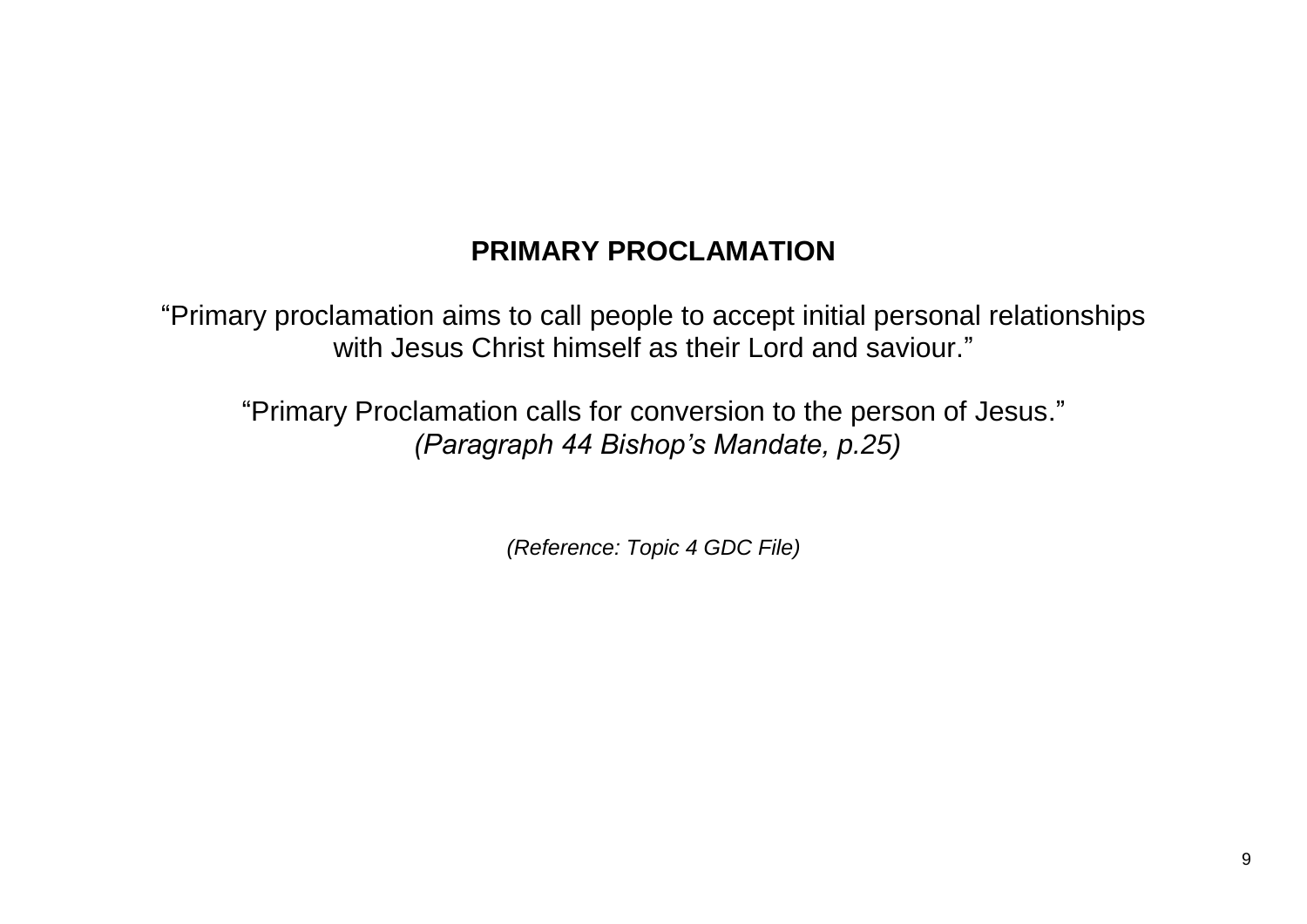# **PRIMARY PROCLAMATION**

"Primary proclamation aims to call people to accept initial personal relationships with Jesus Christ himself as their Lord and saviour."

"Primary Proclamation calls for conversion to the person of Jesus." *(Paragraph 44 Bishop's Mandate, p.25)*

*(Reference: Topic 4 GDC File)*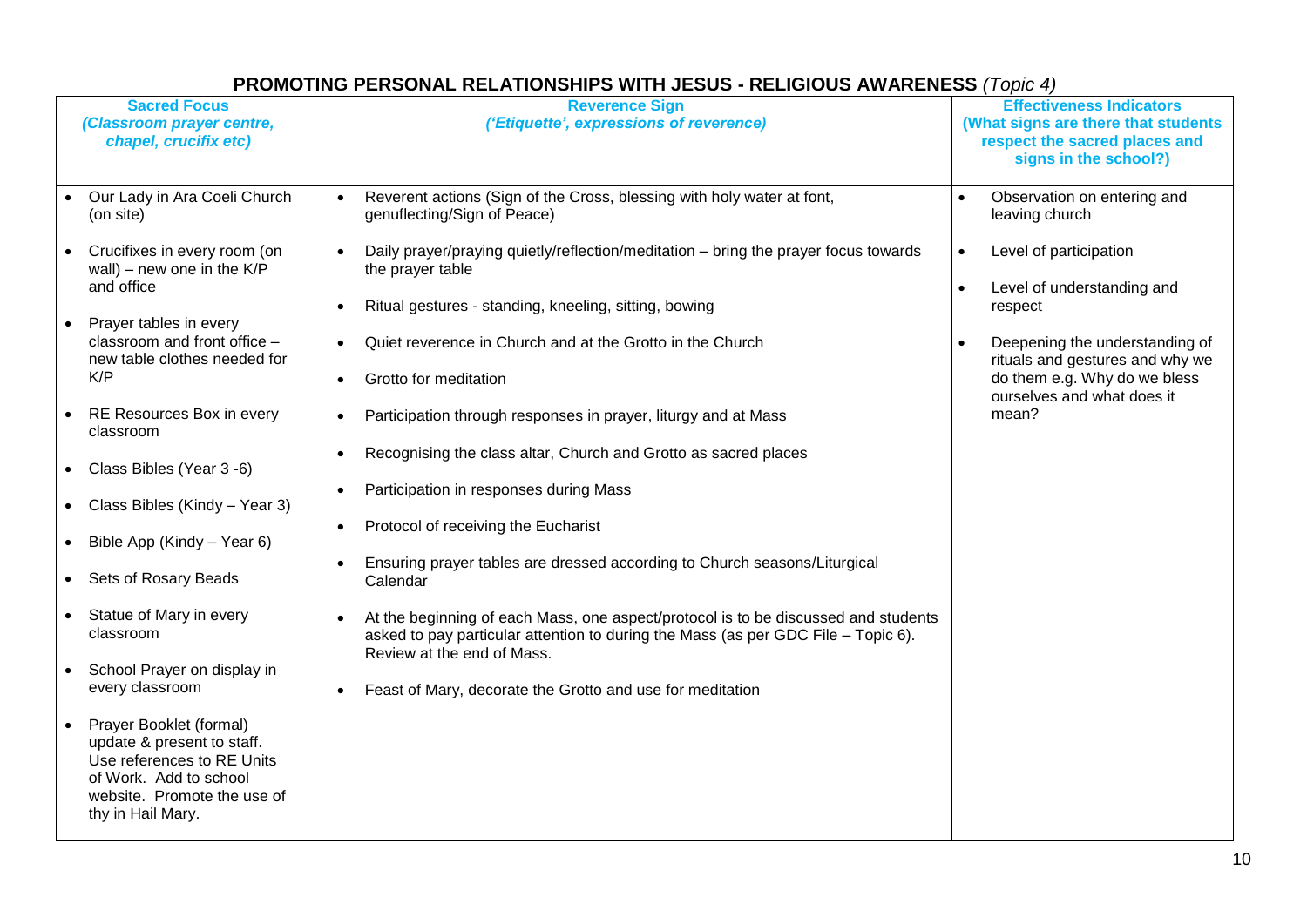| <b>Sacred Focus</b><br>(Classroom prayer centre,<br>chapel, crucifix etc)                                                                                         | <b>Reverence Sign</b><br>('Etiquette', expressions of reverence)                                                                                                        | <b>Effectiveness Indicators</b><br>(What signs are there that students<br>respect the sacred places and<br>signs in the school?) |
|-------------------------------------------------------------------------------------------------------------------------------------------------------------------|-------------------------------------------------------------------------------------------------------------------------------------------------------------------------|----------------------------------------------------------------------------------------------------------------------------------|
| Our Lady in Ara Coeli Church<br>(on site)                                                                                                                         | Reverent actions (Sign of the Cross, blessing with holy water at font,<br>genuflecting/Sign of Peace)                                                                   | Observation on entering and<br>$\bullet$<br>leaving church                                                                       |
| Crucifixes in every room (on<br>wall) – new one in the $K/P$<br>and office                                                                                        | Daily prayer/praying quietly/reflection/meditation - bring the prayer focus towards<br>the prayer table                                                                 | Level of participation<br>$\bullet$<br>$\bullet$<br>Level of understanding and                                                   |
|                                                                                                                                                                   | Ritual gestures - standing, kneeling, sitting, bowing                                                                                                                   | respect                                                                                                                          |
| Prayer tables in every<br>classroom and front office -<br>new table clothes needed for                                                                            | Quiet reverence in Church and at the Grotto in the Church                                                                                                               | Deepening the understanding of<br>rituals and gestures and why we                                                                |
| K/P                                                                                                                                                               | Grotto for meditation                                                                                                                                                   | do them e.g. Why do we bless<br>ourselves and what does it                                                                       |
| RE Resources Box in every<br>classroom                                                                                                                            | Participation through responses in prayer, liturgy and at Mass                                                                                                          | mean?                                                                                                                            |
| • Class Bibles (Year 3 -6)                                                                                                                                        | Recognising the class altar, Church and Grotto as sacred places                                                                                                         |                                                                                                                                  |
| • Class Bibles (Kindy – Year 3)                                                                                                                                   | Participation in responses during Mass                                                                                                                                  |                                                                                                                                  |
| • Bible App (Kindy – Year 6)                                                                                                                                      | Protocol of receiving the Eucharist                                                                                                                                     |                                                                                                                                  |
| • Sets of Rosary Beads                                                                                                                                            | Ensuring prayer tables are dressed according to Church seasons/Liturgical<br>Calendar                                                                                   |                                                                                                                                  |
| • Statue of Mary in every<br>classroom                                                                                                                            | At the beginning of each Mass, one aspect/protocol is to be discussed and students<br>asked to pay particular attention to during the Mass (as per GDC File - Topic 6). |                                                                                                                                  |
| School Prayer on display in<br>every classroom                                                                                                                    | Review at the end of Mass.<br>Feast of Mary, decorate the Grotto and use for meditation                                                                                 |                                                                                                                                  |
| Prayer Booklet (formal)<br>update & present to staff.<br>Use references to RE Units<br>of Work. Add to school<br>website. Promote the use of<br>thy in Hail Mary. |                                                                                                                                                                         |                                                                                                                                  |

## **PROMOTING PERSONAL RELATIONSHIPS WITH JESUS - RELIGIOUS AWARENESS** *(Topic 4)*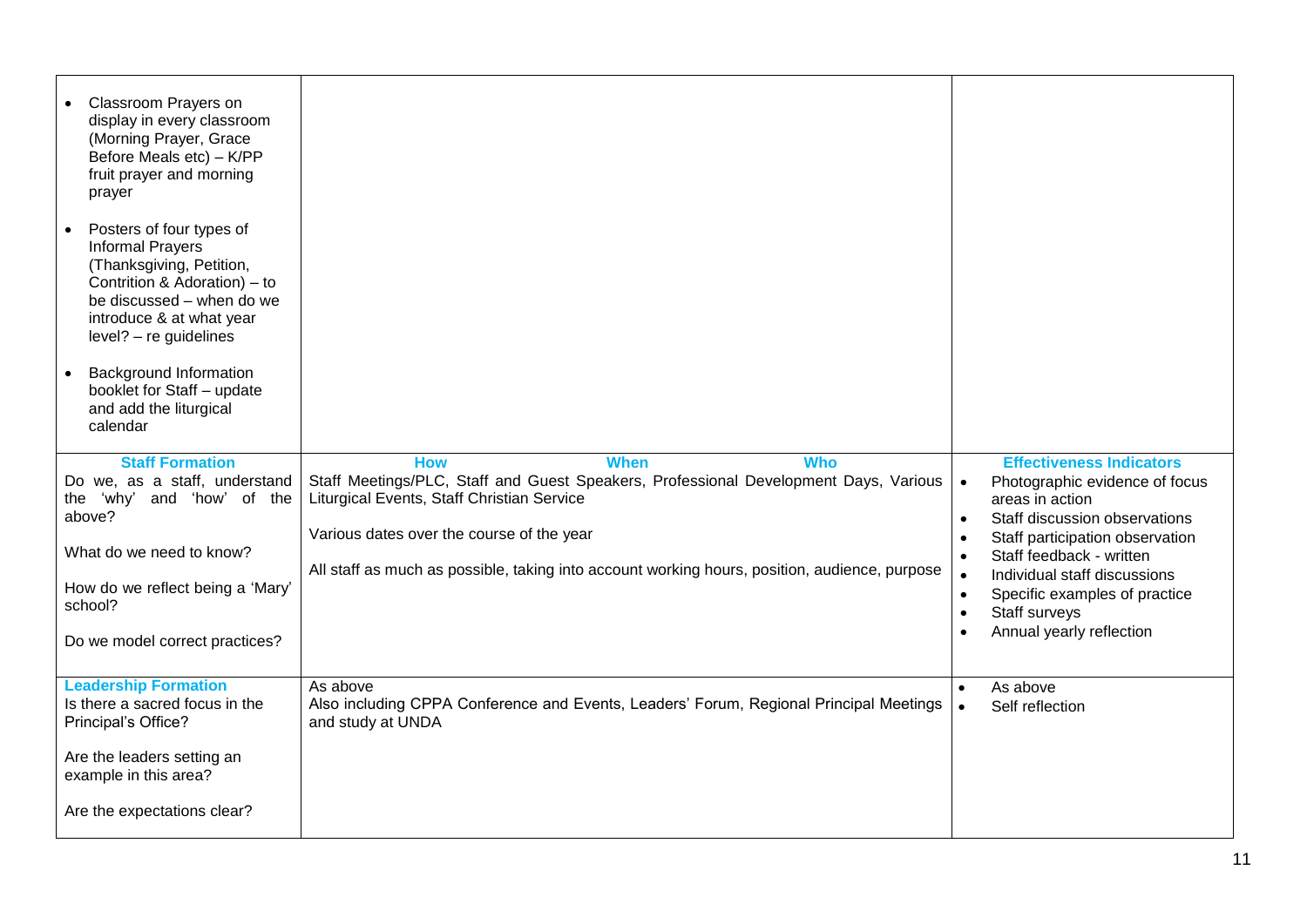| Classroom Prayers on<br>display in every classroom<br>(Morning Prayer, Grace<br>Before Meals etc) - K/PP<br>fruit prayer and morning<br>prayer<br>Posters of four types of<br><b>Informal Prayers</b><br>(Thanksgiving, Petition,<br>Contrition & Adoration) – to<br>be discussed – when do we<br>introduce & at what year<br>level? - re guidelines<br><b>Background Information</b><br>booklet for Staff - update<br>and add the liturgical<br>calendar<br><b>Staff Formation</b><br>Do we, as a staff, understand<br>'why' and 'how' of the<br>the<br>above?<br>What do we need to know? | <b>How</b><br><b>When</b><br><b>Who</b><br>Staff Meetings/PLC, Staff and Guest Speakers, Professional Development Days, Various<br>Liturgical Events, Staff Christian Service<br>Various dates over the course of the year | <b>Effectiveness Indicators</b><br>Photographic evidence of focus<br>areas in action<br>Staff discussion observations<br>$\bullet$<br>Staff participation observation<br>$\bullet$<br>Staff feedback - written |
|---------------------------------------------------------------------------------------------------------------------------------------------------------------------------------------------------------------------------------------------------------------------------------------------------------------------------------------------------------------------------------------------------------------------------------------------------------------------------------------------------------------------------------------------------------------------------------------------|----------------------------------------------------------------------------------------------------------------------------------------------------------------------------------------------------------------------------|----------------------------------------------------------------------------------------------------------------------------------------------------------------------------------------------------------------|
| How do we reflect being a 'Mary'<br>school?<br>Do we model correct practices?                                                                                                                                                                                                                                                                                                                                                                                                                                                                                                               | All staff as much as possible, taking into account working hours, position, audience, purpose                                                                                                                              | $\bullet$<br>Individual staff discussions<br>Specific examples of practice<br>$\bullet$<br>Staff surveys<br>$\bullet$<br>Annual yearly reflection<br>$\bullet$                                                 |
| <b>Leadership Formation</b><br>Is there a sacred focus in the<br>Principal's Office?<br>Are the leaders setting an<br>example in this area?<br>Are the expectations clear?                                                                                                                                                                                                                                                                                                                                                                                                                  | As above<br>Also including CPPA Conference and Events, Leaders' Forum, Regional Principal Meetings<br>and study at UNDA                                                                                                    | As above<br>Self reflection                                                                                                                                                                                    |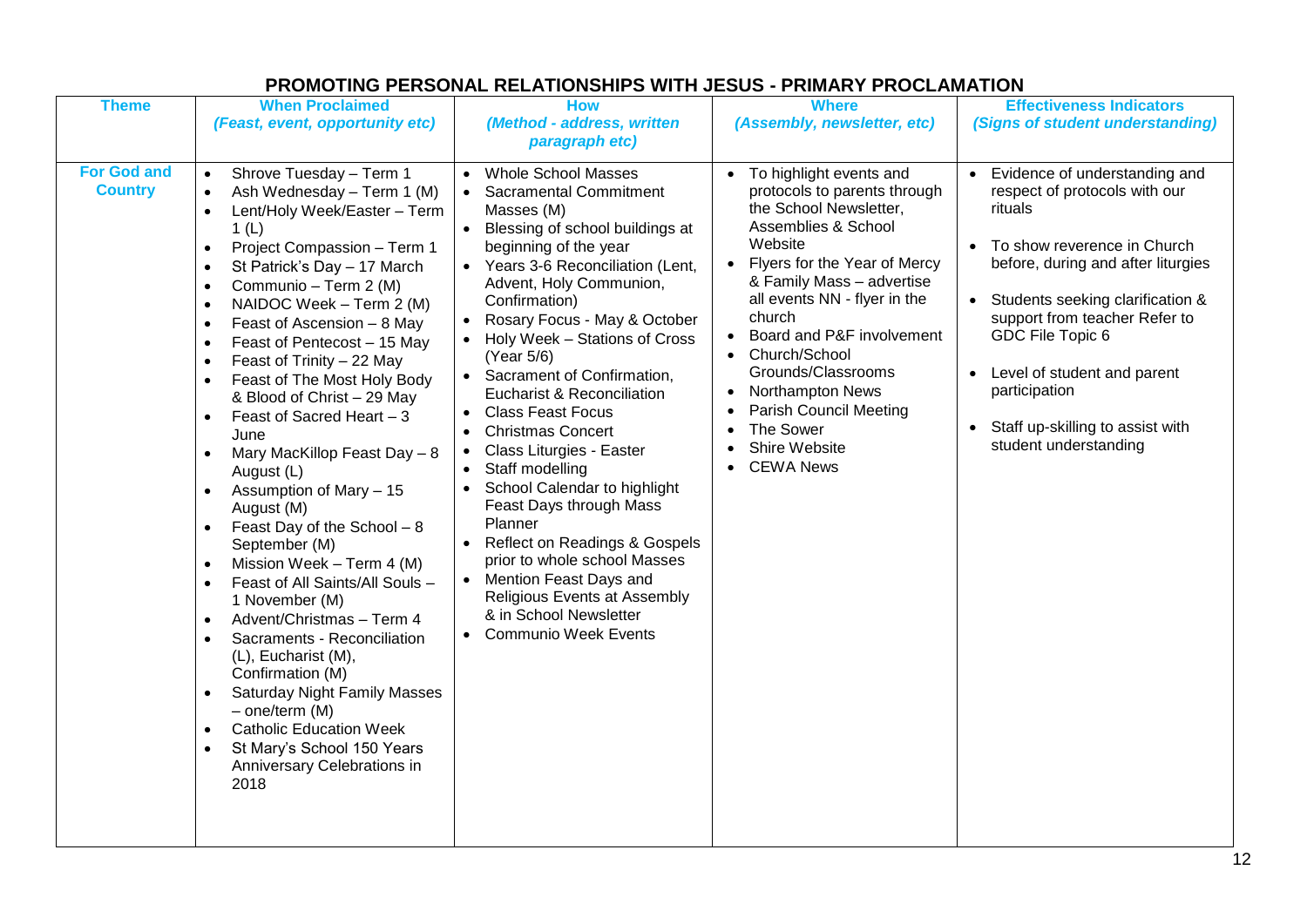| <b>Theme</b>                         | <b>When Proclaimed</b>                                                                                                                                                                                                                                                                                                                                                                                                                                                                                                                                                                                                                                                                                                                                                                                                                                                                                                                                                                                                                                                                                                                                                                                       | <b>How</b>                                                                                                                                                                                                                                                                                                                                                                                                                                                                                                                                                                                                                                                                                                                                                             | <b>Where</b>                                                                                                                                                                                                                                                                                                                                                                                                                                                | <b>Effectiveness Indicators</b>                                                                                                                                                                                                                                                                                                                                                                            |
|--------------------------------------|--------------------------------------------------------------------------------------------------------------------------------------------------------------------------------------------------------------------------------------------------------------------------------------------------------------------------------------------------------------------------------------------------------------------------------------------------------------------------------------------------------------------------------------------------------------------------------------------------------------------------------------------------------------------------------------------------------------------------------------------------------------------------------------------------------------------------------------------------------------------------------------------------------------------------------------------------------------------------------------------------------------------------------------------------------------------------------------------------------------------------------------------------------------------------------------------------------------|------------------------------------------------------------------------------------------------------------------------------------------------------------------------------------------------------------------------------------------------------------------------------------------------------------------------------------------------------------------------------------------------------------------------------------------------------------------------------------------------------------------------------------------------------------------------------------------------------------------------------------------------------------------------------------------------------------------------------------------------------------------------|-------------------------------------------------------------------------------------------------------------------------------------------------------------------------------------------------------------------------------------------------------------------------------------------------------------------------------------------------------------------------------------------------------------------------------------------------------------|------------------------------------------------------------------------------------------------------------------------------------------------------------------------------------------------------------------------------------------------------------------------------------------------------------------------------------------------------------------------------------------------------------|
|                                      | (Feast, event, opportunity etc)                                                                                                                                                                                                                                                                                                                                                                                                                                                                                                                                                                                                                                                                                                                                                                                                                                                                                                                                                                                                                                                                                                                                                                              | (Method - address, written                                                                                                                                                                                                                                                                                                                                                                                                                                                                                                                                                                                                                                                                                                                                             | (Assembly, newsletter, etc)                                                                                                                                                                                                                                                                                                                                                                                                                                 | (Signs of student understanding)                                                                                                                                                                                                                                                                                                                                                                           |
|                                      |                                                                                                                                                                                                                                                                                                                                                                                                                                                                                                                                                                                                                                                                                                                                                                                                                                                                                                                                                                                                                                                                                                                                                                                                              | paragraph etc)                                                                                                                                                                                                                                                                                                                                                                                                                                                                                                                                                                                                                                                                                                                                                         |                                                                                                                                                                                                                                                                                                                                                                                                                                                             |                                                                                                                                                                                                                                                                                                                                                                                                            |
| <b>For God and</b><br><b>Country</b> | Shrove Tuesday - Term 1<br>$\bullet$<br>Ash Wednesday - Term 1 (M)<br>$\bullet$<br>Lent/Holy Week/Easter - Term<br>$\bullet$<br>1(L)<br>Project Compassion - Term 1<br>$\bullet$<br>St Patrick's Day - 17 March<br>$\bullet$<br>Communio - Term 2 (M)<br>$\bullet$<br>NAIDOC Week - Term 2 (M)<br>$\bullet$<br>Feast of Ascension - 8 May<br>$\bullet$<br>Feast of Pentecost - 15 May<br>$\bullet$<br>Feast of Trinity - 22 May<br>$\bullet$<br>Feast of The Most Holy Body<br>$\bullet$<br>& Blood of Christ - 29 May<br>Feast of Sacred Heart - 3<br>$\bullet$<br>June<br>Mary MacKillop Feast Day - 8<br>$\bullet$<br>August (L)<br>Assumption of Mary - 15<br>$\bullet$<br>August (M)<br>Feast Day of the School - 8<br>$\bullet$<br>September (M)<br>Mission Week - Term 4 (M)<br>$\bullet$<br>Feast of All Saints/All Souls -<br>$\bullet$<br>1 November (M)<br>Advent/Christmas - Term 4<br>$\bullet$<br>Sacraments - Reconciliation<br>$\bullet$<br>(L), Eucharist (M),<br>Confirmation (M)<br><b>Saturday Night Family Masses</b><br>$\bullet$<br>$-$ one/term (M)<br><b>Catholic Education Week</b><br>$\bullet$<br>St Mary's School 150 Years<br>$\bullet$<br>Anniversary Celebrations in<br>2018 | <b>Whole School Masses</b><br>$\bullet$<br><b>Sacramental Commitment</b><br>Masses (M)<br>Blessing of school buildings at<br>beginning of the year<br>• Years 3-6 Reconciliation (Lent,<br>Advent, Holy Communion,<br>Confirmation)<br>Rosary Focus - May & October<br>Holy Week - Stations of Cross<br>(Year 5/6)<br>• Sacrament of Confirmation,<br><b>Eucharist &amp; Reconciliation</b><br><b>Class Feast Focus</b><br><b>Christmas Concert</b><br>Class Liturgies - Easter<br>Staff modelling<br>School Calendar to highlight<br>$\bullet$<br>Feast Days through Mass<br>Planner<br>• Reflect on Readings & Gospels<br>prior to whole school Masses<br>Mention Feast Days and<br>Religious Events at Assembly<br>& in School Newsletter<br>• Communio Week Events | • To highlight events and<br>protocols to parents through<br>the School Newsletter,<br>Assemblies & School<br>Website<br>Flyers for the Year of Mercy<br>& Family Mass - advertise<br>all events NN - flyer in the<br>church<br>Board and P&F involvement<br>Church/School<br>$\bullet$<br>Grounds/Classrooms<br>Northampton News<br>$\bullet$<br><b>Parish Council Meeting</b><br>The Sower<br>$\bullet$<br>Shire Website<br><b>CEWA News</b><br>$\bullet$ | • Evidence of understanding and<br>respect of protocols with our<br>rituals<br>To show reverence in Church<br>$\bullet$<br>before, during and after liturgies<br>Students seeking clarification &<br>$\bullet$<br>support from teacher Refer to<br>GDC File Topic 6<br>Level of student and parent<br>$\bullet$<br>participation<br>Staff up-skilling to assist with<br>$\bullet$<br>student understanding |

## **PROMOTING PERSONAL RELATIONSHIPS WITH JESUS - PRIMARY PROCLAMATION**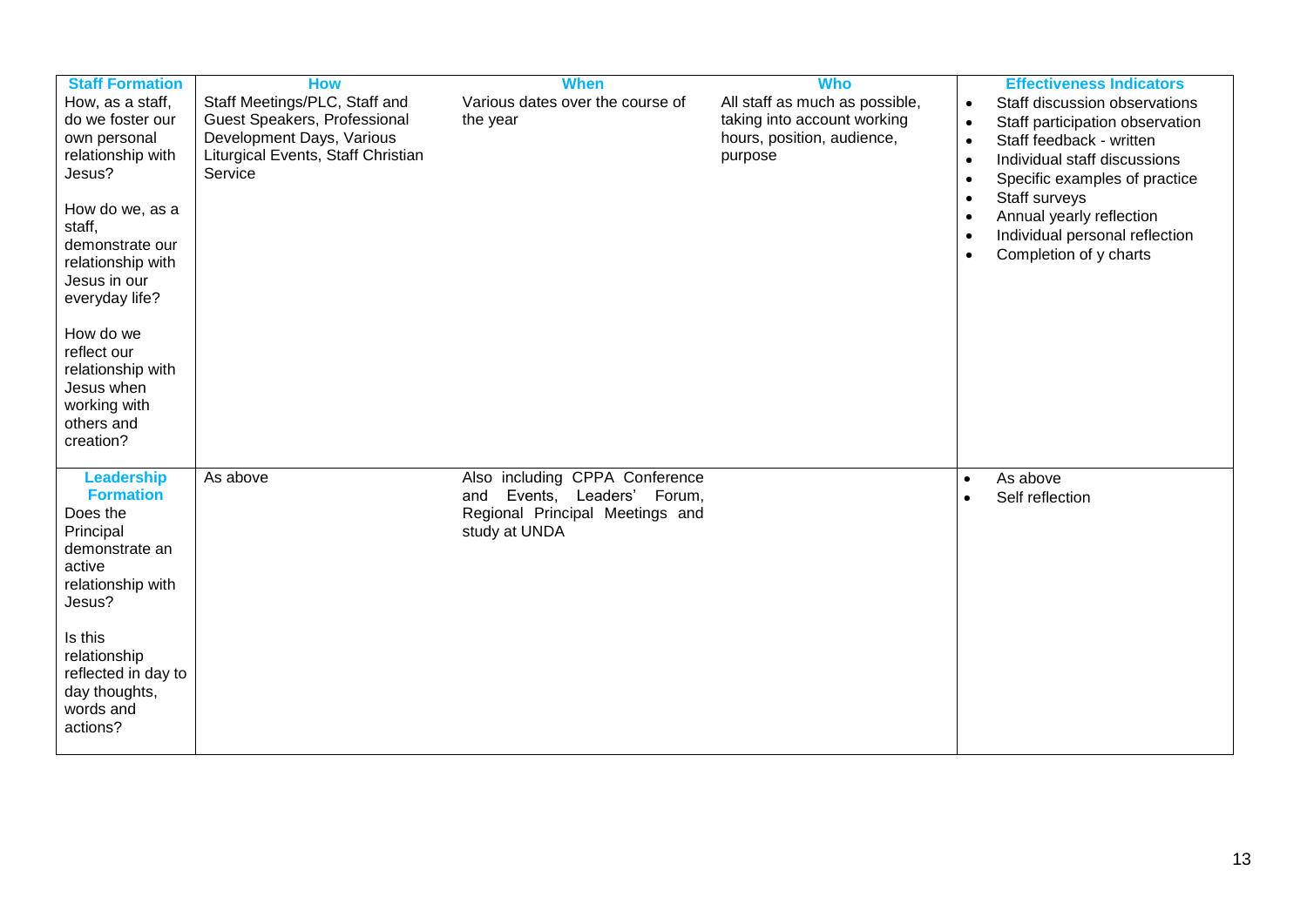| <b>Staff Formation</b><br>How, as a staff,<br>do we foster our<br>own personal<br>relationship with<br>Jesus?<br>How do we, as a<br>staff,<br>demonstrate our<br>relationship with<br>Jesus in our<br>everyday life?<br>How do we<br>reflect our<br>relationship with<br>Jesus when<br>working with<br>others and<br>creation? | <b>How</b><br>Staff Meetings/PLC, Staff and<br>Guest Speakers, Professional<br>Development Days, Various<br>Liturgical Events, Staff Christian<br>Service | <b>When</b><br>Various dates over the course of<br>the year                                                          | <b>Who</b><br>All staff as much as possible,<br>taking into account working<br>hours, position, audience,<br>purpose | <b>Effectiveness Indicators</b><br>Staff discussion observations<br>$\bullet$<br>Staff participation observation<br>$\bullet$<br>Staff feedback - written<br>$\bullet$<br>Individual staff discussions<br>$\bullet$<br>Specific examples of practice<br>$\bullet$<br>Staff surveys<br>$\bullet$<br>Annual yearly reflection<br>$\bullet$<br>Individual personal reflection<br>$\bullet$<br>Completion of y charts<br>$\bullet$ |
|--------------------------------------------------------------------------------------------------------------------------------------------------------------------------------------------------------------------------------------------------------------------------------------------------------------------------------|-----------------------------------------------------------------------------------------------------------------------------------------------------------|----------------------------------------------------------------------------------------------------------------------|----------------------------------------------------------------------------------------------------------------------|--------------------------------------------------------------------------------------------------------------------------------------------------------------------------------------------------------------------------------------------------------------------------------------------------------------------------------------------------------------------------------------------------------------------------------|
| <b>Leadership</b><br><b>Formation</b><br>Does the<br>Principal<br>demonstrate an<br>active<br>relationship with<br>Jesus?<br>Is this<br>relationship<br>reflected in day to<br>day thoughts,<br>words and<br>actions?                                                                                                          | As above                                                                                                                                                  | Also including CPPA Conference<br>Events, Leaders' Forum,<br>and<br>Regional Principal Meetings and<br>study at UNDA |                                                                                                                      | As above<br>$\bullet$<br>Self reflection                                                                                                                                                                                                                                                                                                                                                                                       |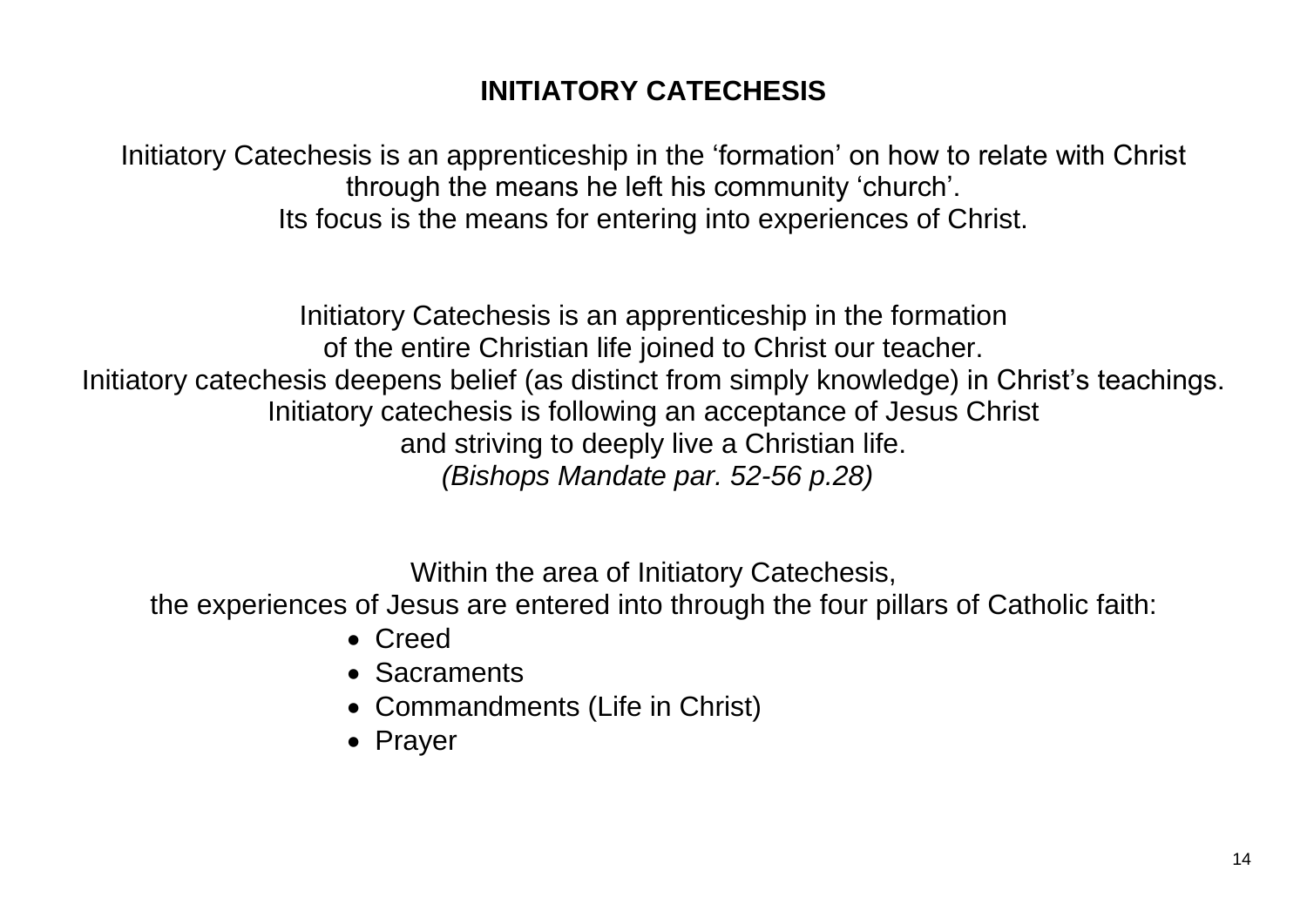# **INITIATORY CATECHESIS**

Initiatory Catechesis is an apprenticeship in the 'formation' on how to relate with Christ through the means he left his community 'church'. Its focus is the means for entering into experiences of Christ.

Initiatory Catechesis is an apprenticeship in the formation of the entire Christian life joined to Christ our teacher. Initiatory catechesis deepens belief (as distinct from simply knowledge) in Christ's teachings. Initiatory catechesis is following an acceptance of Jesus Christ and striving to deeply live a Christian life. *(Bishops Mandate par. 52-56 p.28)*

Within the area of Initiatory Catechesis,

the experiences of Jesus are entered into through the four pillars of Catholic faith:

- Creed
- Sacraments
- Commandments (Life in Christ)
- Prayer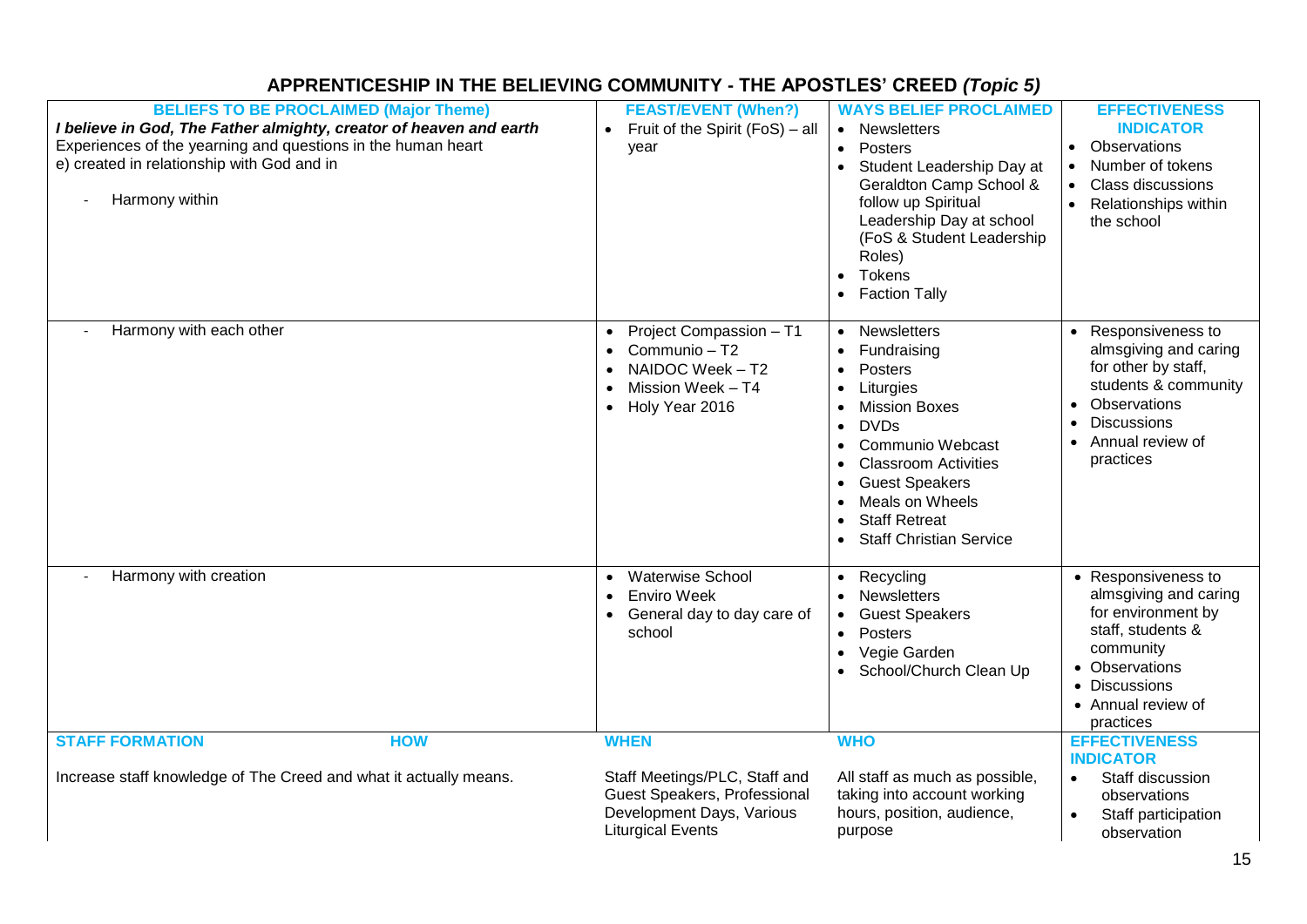## **APPRENTICESHIP IN THE BELIEVING COMMUNITY - THE APOSTLES' CREED** *(Topic 5)*

| <b>BELIEFS TO BE PROCLAIMED (Major Theme)</b><br>I believe in God, The Father almighty, creator of heaven and earth<br>Experiences of the yearning and questions in the human heart<br>e) created in relationship with God and in<br>Harmony within | <b>FEAST/EVENT (When?)</b><br>Fruit of the Spirit (FoS) - all<br>$\bullet$<br>year                                                    | <b>WAYS BELIEF PROCLAIMED</b><br>• Newsletters<br>Posters<br>Student Leadership Day at<br>Geraldton Camp School &<br>follow up Spiritual<br>Leadership Day at school<br>(FoS & Student Leadership<br>Roles)<br>Tokens<br><b>Faction Tally</b>                          | <b>EFFECTIVENESS</b><br><b>INDICATOR</b><br>Observations<br>Number of tokens<br><b>Class discussions</b><br>Relationships within<br>the school                                  |
|-----------------------------------------------------------------------------------------------------------------------------------------------------------------------------------------------------------------------------------------------------|---------------------------------------------------------------------------------------------------------------------------------------|------------------------------------------------------------------------------------------------------------------------------------------------------------------------------------------------------------------------------------------------------------------------|---------------------------------------------------------------------------------------------------------------------------------------------------------------------------------|
| Harmony with each other                                                                                                                                                                                                                             | • Project Compassion - T1<br>Communio - T2<br>NAIDOC Week - T2<br>Mission Week - T4<br>• Holy Year 2016                               | <b>Newsletters</b><br>$\bullet$<br>Fundraising<br>Posters<br>Liturgies<br><b>Mission Boxes</b><br><b>DVDs</b><br>Communio Webcast<br><b>Classroom Activities</b><br><b>Guest Speakers</b><br>Meals on Wheels<br><b>Staff Retreat</b><br><b>Staff Christian Service</b> | Responsiveness to<br>almsgiving and caring<br>for other by staff,<br>students & community<br>Observations<br><b>Discussions</b><br>Annual review of<br>practices                |
| Harmony with creation                                                                                                                                                                                                                               | <b>Waterwise School</b><br>$\bullet$<br><b>Enviro Week</b><br>General day to day care of<br>school                                    | Recycling<br>$\bullet$<br><b>Newsletters</b><br><b>Guest Speakers</b><br>Posters<br>$\bullet$<br>Vegie Garden<br>School/Church Clean Up                                                                                                                                | • Responsiveness to<br>almsgiving and caring<br>for environment by<br>staff, students &<br>community<br>• Observations<br><b>Discussions</b><br>• Annual review of<br>practices |
| <b>STAFF FORMATION</b><br><b>HOW</b><br>Increase staff knowledge of The Creed and what it actually means.                                                                                                                                           | <b>WHEN</b><br>Staff Meetings/PLC, Staff and<br>Guest Speakers, Professional<br>Development Days, Various<br><b>Liturgical Events</b> | <b>WHO</b><br>All staff as much as possible,<br>taking into account working<br>hours, position, audience,<br>purpose                                                                                                                                                   | <b>EFFECTIVENESS</b><br><b>INDICATOR</b><br>Staff discussion<br>$\bullet$<br>observations<br>Staff participation<br>observation                                                 |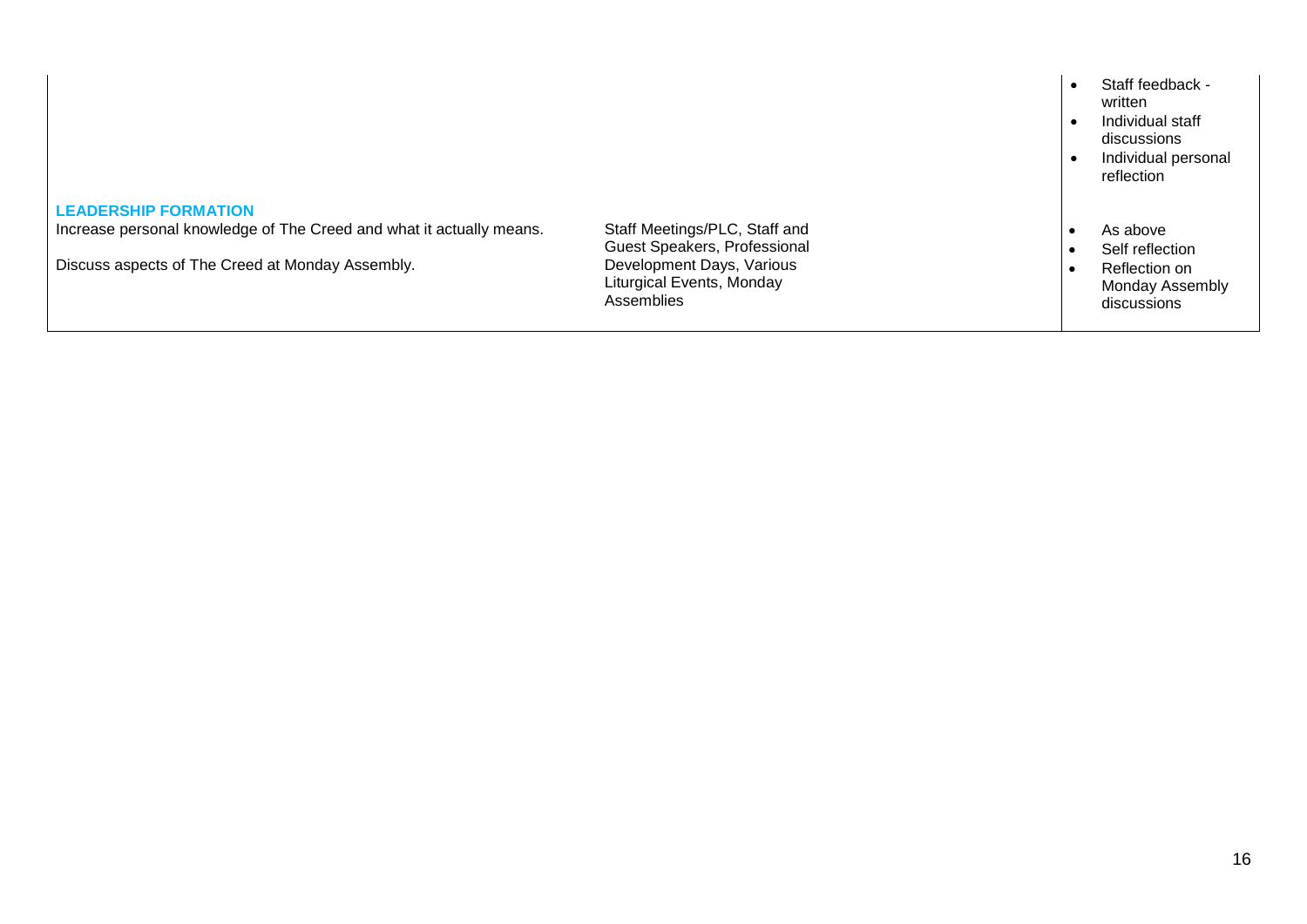|                                                                      |                                                                      | Staff feedback -<br>written<br>Individual staff<br>discussions<br>Individual personal<br>reflection |
|----------------------------------------------------------------------|----------------------------------------------------------------------|-----------------------------------------------------------------------------------------------------|
| <b>LEADERSHIP FORMATION</b>                                          |                                                                      |                                                                                                     |
| Increase personal knowledge of The Creed and what it actually means. | Staff Meetings/PLC, Staff and<br>Guest Speakers, Professional        | As above<br>Self reflection                                                                         |
| Discuss aspects of The Creed at Monday Assembly.                     | Development Days, Various<br>Liturgical Events, Monday<br>Assemblies | Reflection on<br>Monday Assembly<br>discussions                                                     |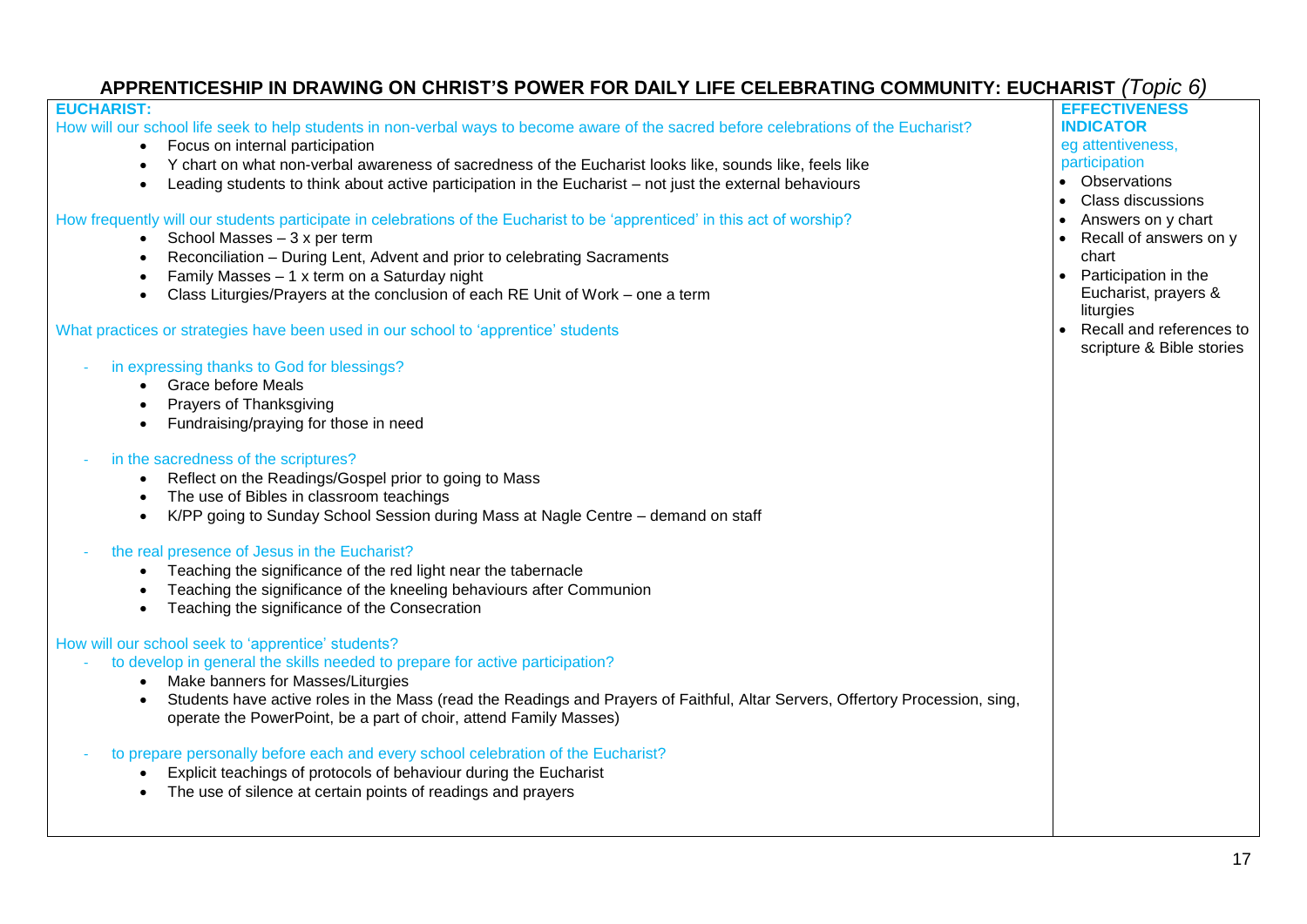## **APPRENTICESHIP IN DRAWING ON CHRIST'S POWER FOR DAILY LIFE CELEBRATING COMMUNITY: EUCHARIST** *(Topic 6)*

#### **EUCHARIST:**

How will our school life seek to help students in non-verbal ways to become aware of the sacred before celebrations of the Eucharist?

- Focus on internal participation
- Y chart on what non-verbal awareness of sacredness of the Eucharist looks like, sounds like, feels like
- Leading students to think about active participation in the Eucharist not just the external behaviours

How frequently will our students participate in celebrations of the Eucharist to be 'apprenticed' in this act of worship?

- $\bullet$  School Masses 3 x per term
- Reconciliation During Lent, Advent and prior to celebrating Sacraments
- Family Masses 1 x term on a Saturday night
- Class Liturgies/Prayers at the conclusion of each RE Unit of Work one a term

#### What practices or strategies have been used in our school to 'apprentice' students

- in expressing thanks to God for blessings?
	- Grace before Meals
	- Prayers of Thanksgiving
	- Fundraising/praying for those in need
- in the sacredness of the scriptures?
	- Reflect on the Readings/Gospel prior to going to Mass
	- The use of Bibles in classroom teachings
	- K/PP going to Sunday School Session during Mass at Nagle Centre demand on staff
- the real presence of Jesus in the Eucharist?
	- Teaching the significance of the red light near the tabernacle
	- Teaching the significance of the kneeling behaviours after Communion
	- Teaching the significance of the Consecration

### How will our school seek to 'apprentice' students?

- to develop in general the skills needed to prepare for active participation?
	- Make banners for Masses/Liturgies
	- Students have active roles in the Mass (read the Readings and Prayers of Faithful, Altar Servers, Offertory Procession, sing, operate the PowerPoint, be a part of choir, attend Family Masses)
- to prepare personally before each and every school celebration of the Eucharist?
	- Explicit teachings of protocols of behaviour during the Eucharist
	- The use of silence at certain points of readings and prayers

**EFFECTIVENESS INDICATOR** eg attentiveness, participation

- Observations
- Class discussions
- Answers on y chart
- Recall of answers on y chart
- Participation in the Eucharist, prayers & liturgies
- Recall and references to scripture & Bible stories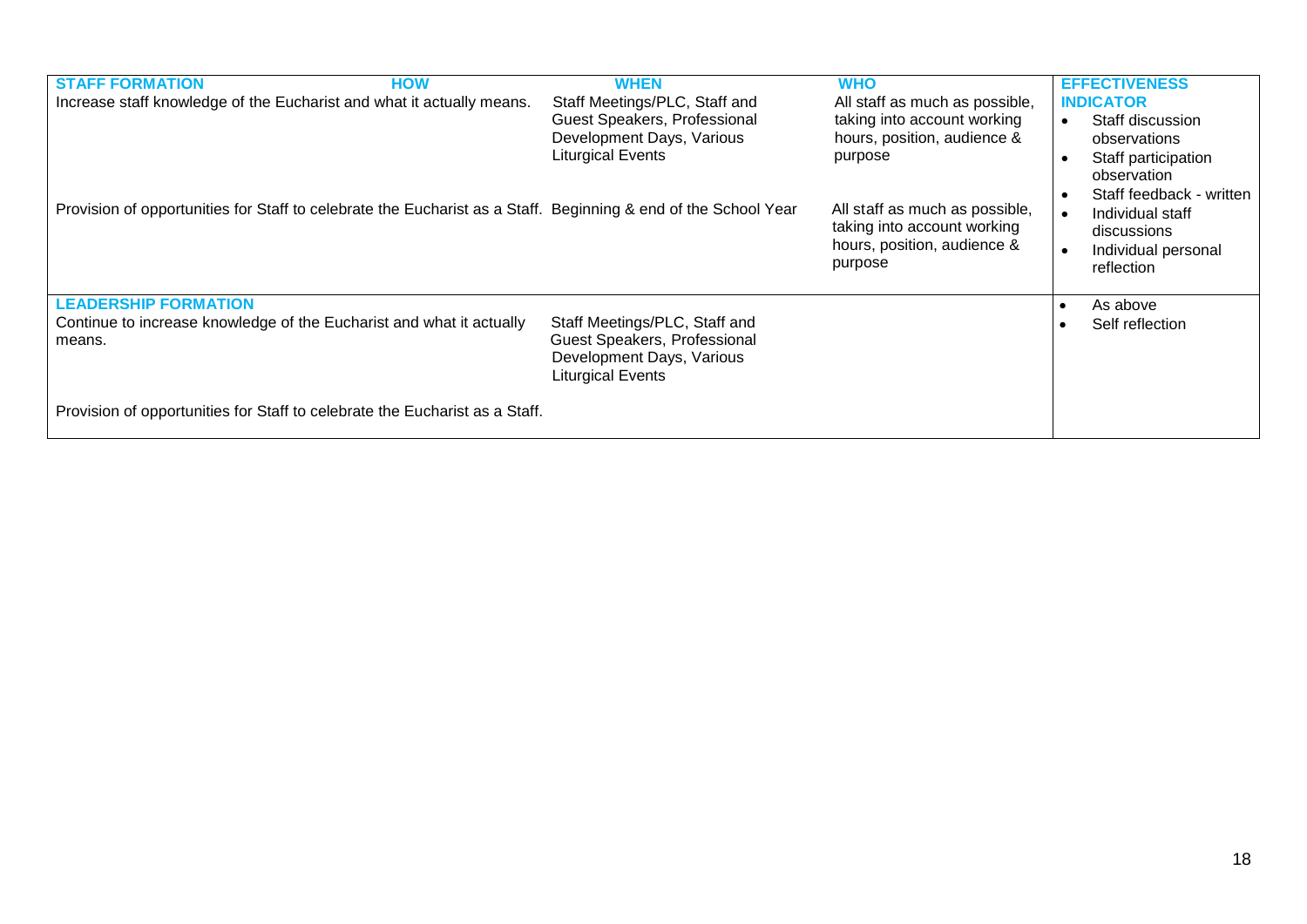| <b>STAFF FORMATION</b><br><b>HOW</b><br>Increase staff knowledge of the Eucharist and what it actually means.  | <b>WHEN</b><br>Staff Meetings/PLC, Staff and<br>Guest Speakers, Professional<br>Development Days, Various<br><b>Liturgical Events</b> | <b>WHO</b><br>All staff as much as possible,<br>taking into account working<br>hours, position, audience &<br>purpose | <b>EFFECTIVENESS</b><br><b>INDICATOR</b><br>Staff discussion<br>$\bullet$<br>observations<br>Staff participation<br>$\bullet$<br>observation<br>Staff feedback - written |
|----------------------------------------------------------------------------------------------------------------|---------------------------------------------------------------------------------------------------------------------------------------|-----------------------------------------------------------------------------------------------------------------------|--------------------------------------------------------------------------------------------------------------------------------------------------------------------------|
| Provision of opportunities for Staff to celebrate the Eucharist as a Staff. Beginning & end of the School Year |                                                                                                                                       | All staff as much as possible,<br>taking into account working<br>hours, position, audience &<br>purpose               | Individual staff<br>discussions<br>Individual personal<br>$\bullet$<br>reflection                                                                                        |
| <b>LEADERSHIP FORMATION</b>                                                                                    |                                                                                                                                       |                                                                                                                       | As above<br>$\bullet$                                                                                                                                                    |
| Continue to increase knowledge of the Eucharist and what it actually<br>means.                                 | Staff Meetings/PLC, Staff and<br><b>Guest Speakers, Professional</b><br>Development Days, Various<br><b>Liturgical Events</b>         |                                                                                                                       | Self reflection                                                                                                                                                          |
| Provision of opportunities for Staff to celebrate the Eucharist as a Staff.                                    |                                                                                                                                       |                                                                                                                       |                                                                                                                                                                          |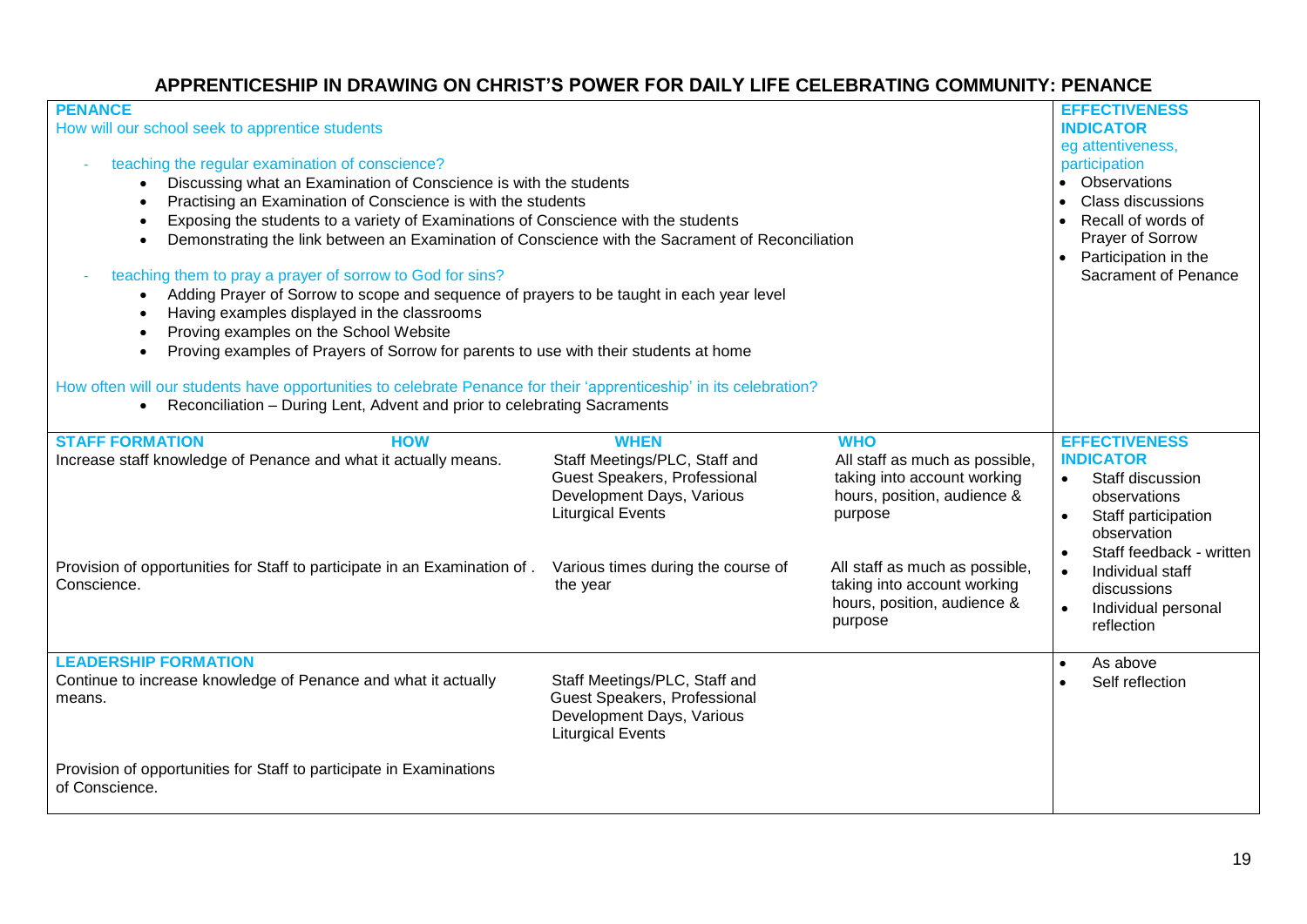### **APPRENTICESHIP IN DRAWING ON CHRIST'S POWER FOR DAILY LIFE CELEBRATING COMMUNITY: PENANCE**

| <b>PENANCE</b><br>How will our school seek to apprentice students<br>teaching the regular examination of conscience?<br>Discussing what an Examination of Conscience is with the students<br>Practising an Examination of Conscience is with the students<br>$\bullet$<br>Exposing the students to a variety of Examinations of Conscience with the students<br>$\bullet$<br>Demonstrating the link between an Examination of Conscience with the Sacrament of Reconciliation<br>teaching them to pray a prayer of sorrow to God for sins?<br>Adding Prayer of Sorrow to scope and sequence of prayers to be taught in each year level<br>Having examples displayed in the classrooms<br>Proving examples on the School Website<br>Proving examples of Prayers of Sorrow for parents to use with their students at home<br>How often will our students have opportunities to celebrate Penance for their 'apprenticeship' in its celebration? |                                                                                                                        |                                                                                                                                                                                                                                                                            | <b>EFFECTIVENESS</b><br><b>INDICATOR</b><br>eg attentiveness,<br>participation<br>• Observations<br>Class discussions<br>Recall of words of<br>Prayer of Sorrow<br>Participation in the<br>$\bullet$<br>Sacrament of Penance |
|-----------------------------------------------------------------------------------------------------------------------------------------------------------------------------------------------------------------------------------------------------------------------------------------------------------------------------------------------------------------------------------------------------------------------------------------------------------------------------------------------------------------------------------------------------------------------------------------------------------------------------------------------------------------------------------------------------------------------------------------------------------------------------------------------------------------------------------------------------------------------------------------------------------------------------------------------|------------------------------------------------------------------------------------------------------------------------|----------------------------------------------------------------------------------------------------------------------------------------------------------------------------------------------------------------------------------------------------------------------------|------------------------------------------------------------------------------------------------------------------------------------------------------------------------------------------------------------------------------|
| Reconciliation - During Lent, Advent and prior to celebrating Sacraments                                                                                                                                                                                                                                                                                                                                                                                                                                                                                                                                                                                                                                                                                                                                                                                                                                                                      |                                                                                                                        |                                                                                                                                                                                                                                                                            |                                                                                                                                                                                                                              |
| <b>STAFF FORMATION</b><br><b>HOW</b><br><b>WHEN</b><br><b>WHO</b><br>Increase staff knowledge of Penance and what it actually means.<br>Staff Meetings/PLC, Staff and<br>All staff as much as possible,<br>Guest Speakers, Professional<br>taking into account working<br>Development Days, Various<br>hours, position, audience &<br><b>Liturgical Events</b><br>purpose<br>All staff as much as possible,<br>Provision of opportunities for Staff to participate in an Examination of .<br>Various times during the course of<br>taking into account working<br>Conscience.<br>the year<br>hours, position, audience &<br>purpose                                                                                                                                                                                                                                                                                                           |                                                                                                                        | <b>EFFECTIVENESS</b><br><b>INDICATOR</b><br>Staff discussion<br>$\bullet$<br>observations<br>Staff participation<br>$\bullet$<br>observation<br>Staff feedback - written<br>Individual staff<br>$\bullet$<br>discussions<br>Individual personal<br>$\bullet$<br>reflection |                                                                                                                                                                                                                              |
| <b>LEADERSHIP FORMATION</b><br>Continue to increase knowledge of Penance and what it actually<br>means.                                                                                                                                                                                                                                                                                                                                                                                                                                                                                                                                                                                                                                                                                                                                                                                                                                       | Staff Meetings/PLC, Staff and<br>Guest Speakers, Professional<br>Development Days, Various<br><b>Liturgical Events</b> |                                                                                                                                                                                                                                                                            | As above<br>$\bullet$<br>Self reflection<br>$\bullet$                                                                                                                                                                        |
| Provision of opportunities for Staff to participate in Examinations<br>of Conscience.                                                                                                                                                                                                                                                                                                                                                                                                                                                                                                                                                                                                                                                                                                                                                                                                                                                         |                                                                                                                        |                                                                                                                                                                                                                                                                            |                                                                                                                                                                                                                              |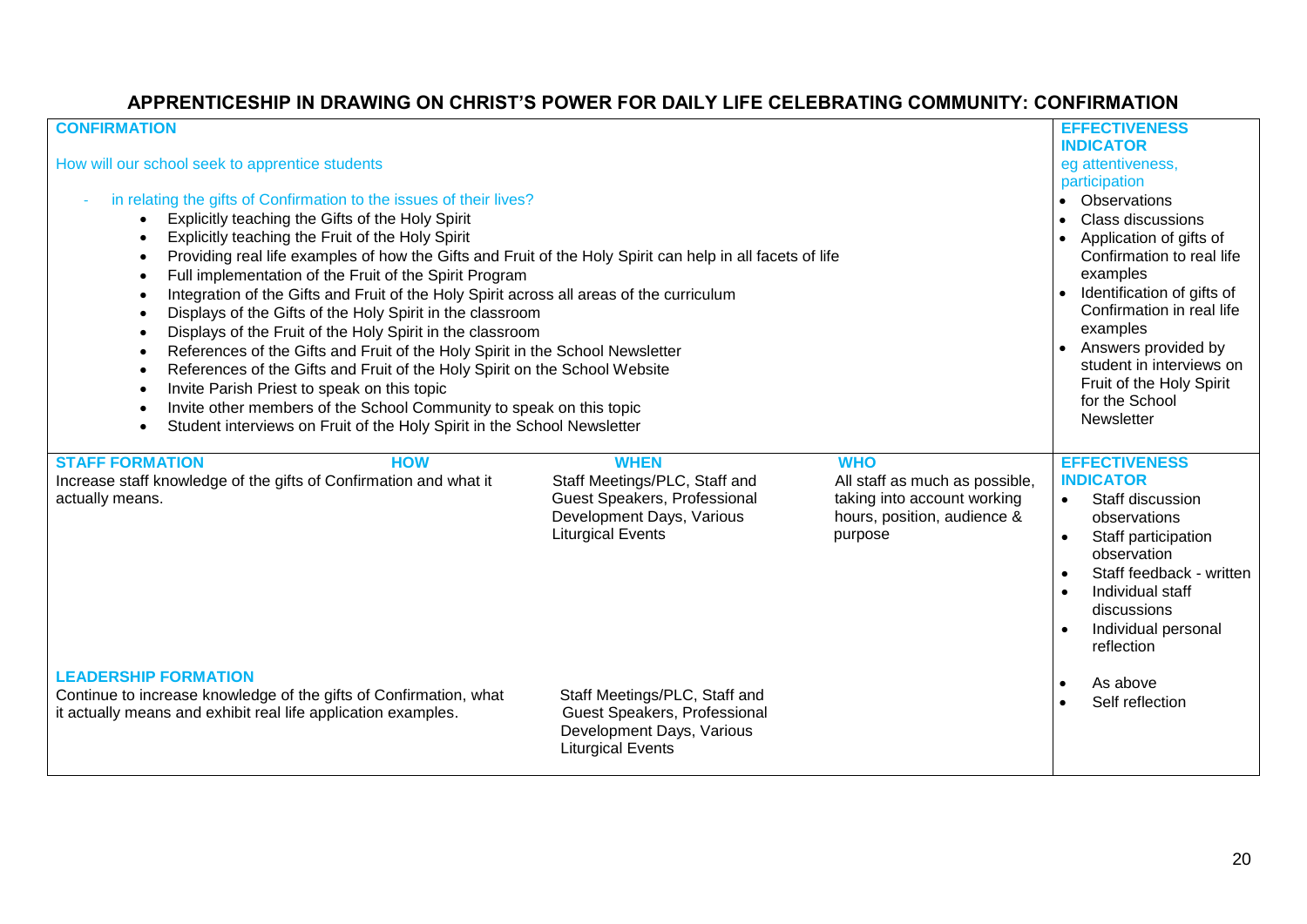### **APPRENTICESHIP IN DRAWING ON CHRIST'S POWER FOR DAILY LIFE CELEBRATING COMMUNITY: CONFIRMATION**

| <b>CONFIRMATION</b><br>How will our school seek to apprentice students<br>in relating the gifts of Confirmation to the issues of their lives?<br>Explicitly teaching the Gifts of the Holy Spirit<br>Explicitly teaching the Fruit of the Holy Spirit<br>$\bullet$<br>Providing real life examples of how the Gifts and Fruit of the Holy Spirit can help in all facets of life<br>$\bullet$<br>Full implementation of the Fruit of the Spirit Program<br>Integration of the Gifts and Fruit of the Holy Spirit across all areas of the curriculum<br>Displays of the Gifts of the Holy Spirit in the classroom<br>$\bullet$<br>Displays of the Fruit of the Holy Spirit in the classroom<br>$\bullet$<br>References of the Gifts and Fruit of the Holy Spirit in the School Newsletter<br>$\bullet$<br>References of the Gifts and Fruit of the Holy Spirit on the School Website<br>$\bullet$<br>Invite Parish Priest to speak on this topic<br>Invite other members of the School Community to speak on this topic<br>Student interviews on Fruit of the Holy Spirit in the School Newsletter<br>$\bullet$ |                                                                                                                                              |                                                                                                                       | <b>EFFECTIVENESS</b><br><b>INDICATOR</b><br>eg attentiveness,<br>participation<br>Observations<br>$\bullet$<br><b>Class discussions</b><br>Application of gifts of<br>Confirmation to real life<br>examples<br>Identification of gifts of<br>$\bullet$<br>Confirmation in real life<br>examples<br>Answers provided by<br>student in interviews on<br>Fruit of the Holy Spirit<br>for the School<br>Newsletter |
|---------------------------------------------------------------------------------------------------------------------------------------------------------------------------------------------------------------------------------------------------------------------------------------------------------------------------------------------------------------------------------------------------------------------------------------------------------------------------------------------------------------------------------------------------------------------------------------------------------------------------------------------------------------------------------------------------------------------------------------------------------------------------------------------------------------------------------------------------------------------------------------------------------------------------------------------------------------------------------------------------------------------------------------------------------------------------------------------------------------|----------------------------------------------------------------------------------------------------------------------------------------------|-----------------------------------------------------------------------------------------------------------------------|----------------------------------------------------------------------------------------------------------------------------------------------------------------------------------------------------------------------------------------------------------------------------------------------------------------------------------------------------------------------------------------------------------------|
| <b>STAFF FORMATION</b><br><b>HOW</b><br>Increase staff knowledge of the gifts of Confirmation and what it<br>actually means.                                                                                                                                                                                                                                                                                                                                                                                                                                                                                                                                                                                                                                                                                                                                                                                                                                                                                                                                                                                  | <b>WHEN</b><br>Staff Meetings/PLC, Staff and<br><b>Guest Speakers, Professional</b><br>Development Days, Various<br><b>Liturgical Events</b> | <b>WHO</b><br>All staff as much as possible,<br>taking into account working<br>hours, position, audience &<br>purpose | <b>EFFECTIVENESS</b><br><b>INDICATOR</b><br>Staff discussion<br>$\bullet$<br>observations<br>Staff participation<br>$\bullet$<br>observation<br>Staff feedback - written<br>Individual staff<br>discussions<br>Individual personal<br>reflection                                                                                                                                                               |
| <b>LEADERSHIP FORMATION</b><br>Continue to increase knowledge of the gifts of Confirmation, what<br>it actually means and exhibit real life application examples.                                                                                                                                                                                                                                                                                                                                                                                                                                                                                                                                                                                                                                                                                                                                                                                                                                                                                                                                             | Staff Meetings/PLC, Staff and<br>Guest Speakers, Professional<br>Development Days, Various<br><b>Liturgical Events</b>                       |                                                                                                                       | As above<br>Self reflection                                                                                                                                                                                                                                                                                                                                                                                    |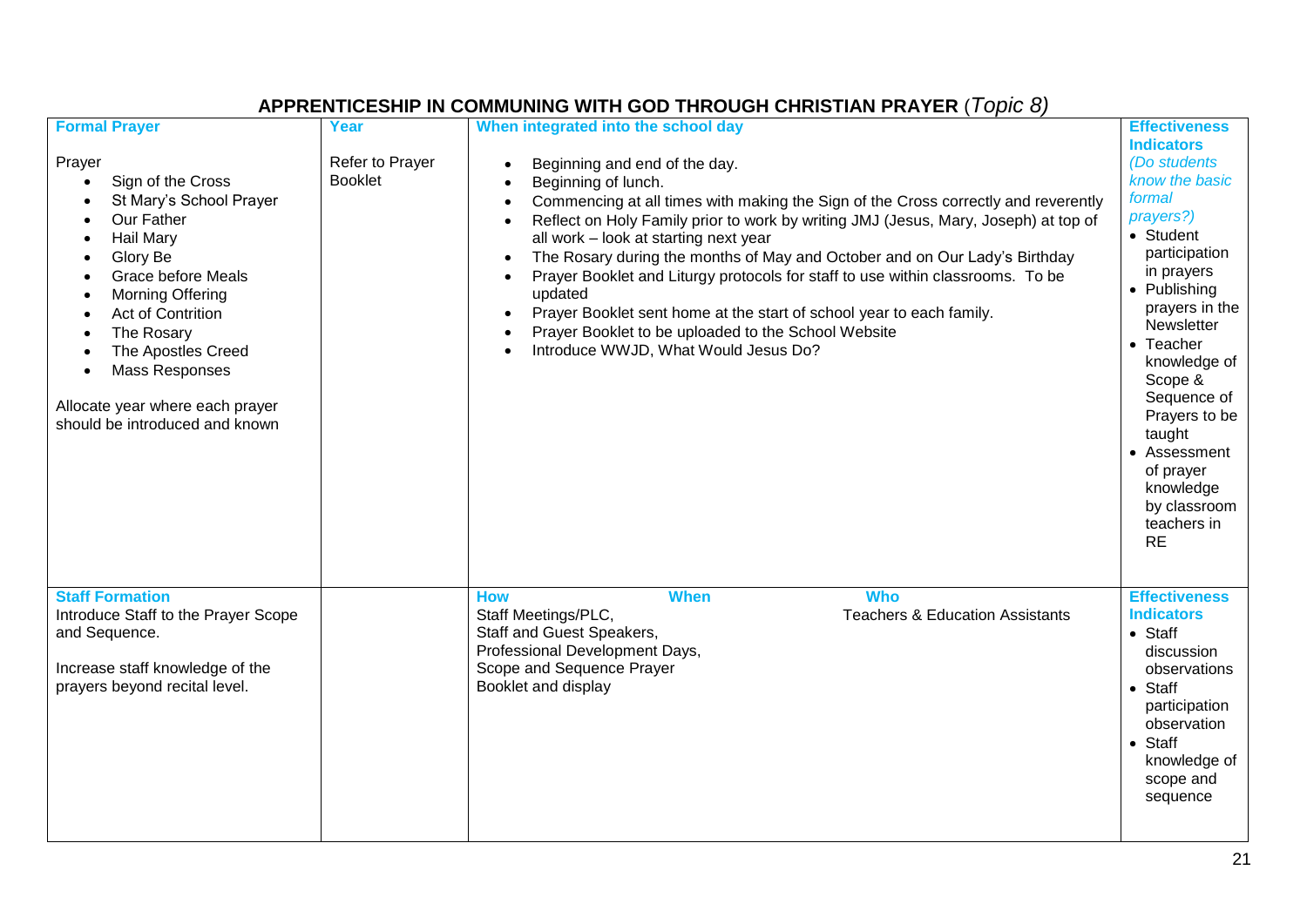| <b>Formal Prayer</b>                                                                                                                                                                                                                                                                    | Year                              | When integrated into the school day                                                                                                                                                                                                                                                                                                                                                                                                                                                                                                                                                                                                                                                                                                  | <b>Effectiveness</b>                                                                                                                                                                                                                                                                                                                           |
|-----------------------------------------------------------------------------------------------------------------------------------------------------------------------------------------------------------------------------------------------------------------------------------------|-----------------------------------|--------------------------------------------------------------------------------------------------------------------------------------------------------------------------------------------------------------------------------------------------------------------------------------------------------------------------------------------------------------------------------------------------------------------------------------------------------------------------------------------------------------------------------------------------------------------------------------------------------------------------------------------------------------------------------------------------------------------------------------|------------------------------------------------------------------------------------------------------------------------------------------------------------------------------------------------------------------------------------------------------------------------------------------------------------------------------------------------|
| Prayer<br>Sign of the Cross<br>St Mary's School Prayer<br>Our Father<br>Hail Mary<br>Glory Be<br>Grace before Meals<br>Morning Offering<br>Act of Contrition<br>The Rosary<br>The Apostles Creed<br>Mass Responses<br>Allocate year where each prayer<br>should be introduced and known | Refer to Prayer<br><b>Booklet</b> | Beginning and end of the day.<br>$\bullet$<br>Beginning of lunch.<br>Commencing at all times with making the Sign of the Cross correctly and reverently<br>$\bullet$<br>Reflect on Holy Family prior to work by writing JMJ (Jesus, Mary, Joseph) at top of<br>$\bullet$<br>all work - look at starting next year<br>The Rosary during the months of May and October and on Our Lady's Birthday<br>$\bullet$<br>Prayer Booklet and Liturgy protocols for staff to use within classrooms. To be<br>$\bullet$<br>updated<br>Prayer Booklet sent home at the start of school year to each family.<br>$\bullet$<br>Prayer Booklet to be uploaded to the School Website<br>$\bullet$<br>Introduce WWJD, What Would Jesus Do?<br>$\bullet$ | <b>Indicators</b><br>(Do students<br>know the basic<br>formal<br>prayers?)<br>• Student<br>participation<br>in prayers<br>• Publishing<br>prayers in the<br>Newsletter<br>• Teacher<br>knowledge of<br>Scope &<br>Sequence of<br>Prayers to be<br>taught<br>• Assessment<br>of prayer<br>knowledge<br>by classroom<br>teachers in<br><b>RE</b> |
| <b>Staff Formation</b><br>Introduce Staff to the Prayer Scope<br>and Sequence.<br>Increase staff knowledge of the<br>prayers beyond recital level.                                                                                                                                      |                                   | <b>When</b><br><b>Who</b><br><b>How</b><br><b>Teachers &amp; Education Assistants</b><br>Staff Meetings/PLC,<br><b>Staff and Guest Speakers,</b><br>Professional Development Days,<br>Scope and Sequence Prayer<br>Booklet and display                                                                                                                                                                                                                                                                                                                                                                                                                                                                                               | <b>Effectiveness</b><br><b>Indicators</b><br>$\bullet$ Staff<br>discussion<br>observations<br>$\bullet$ Staff<br>participation<br>observation<br>$\bullet$ Staff<br>knowledge of<br>scope and<br>sequence                                                                                                                                      |

## **APPRENTICESHIP IN COMMUNING WITH GOD THROUGH CHRISTIAN PRAYER** (*Topic 8)*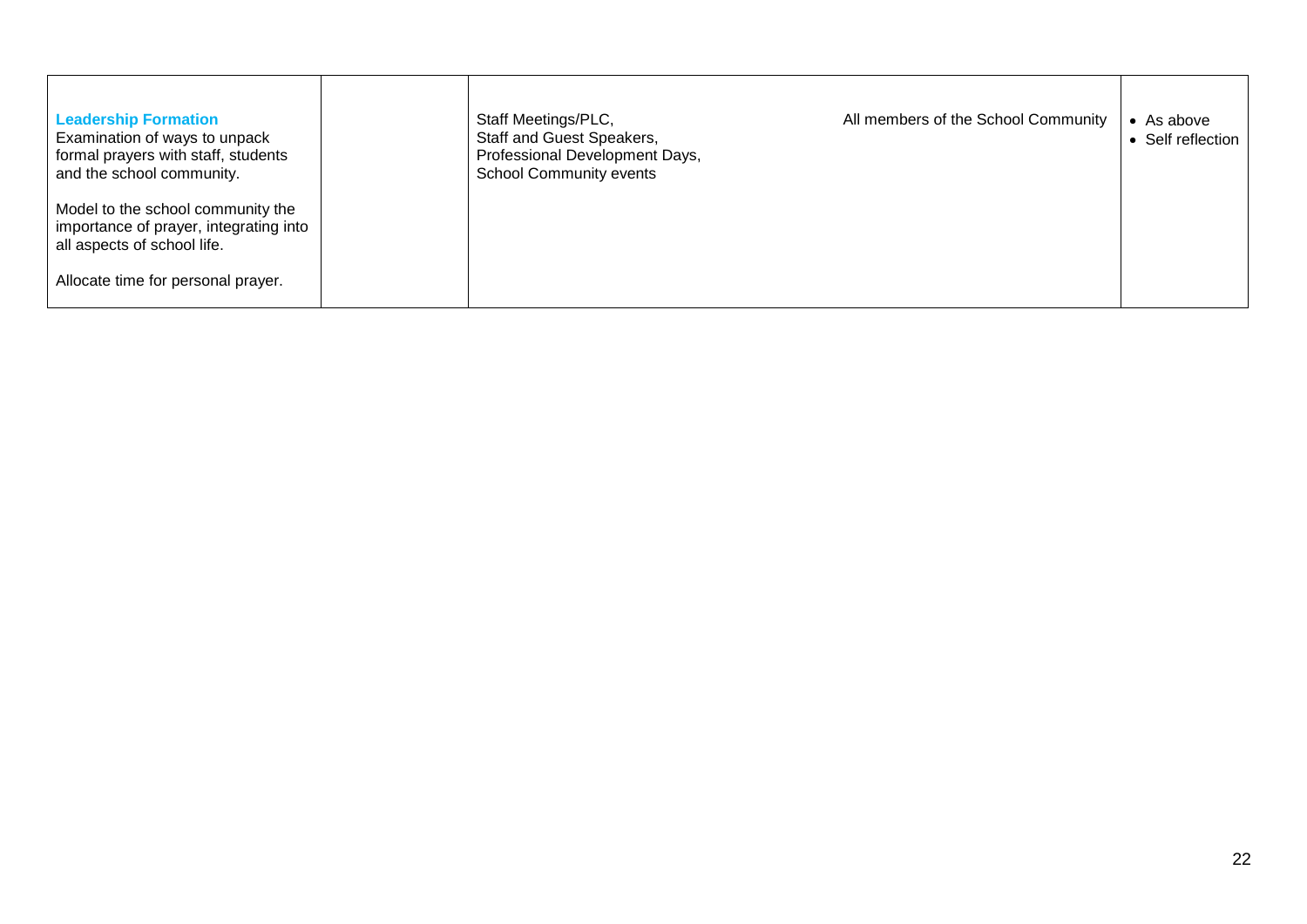| <b>Leadership Formation</b><br>Examination of ways to unpack<br>formal prayers with staff, students<br>and the school community. | All members of the School Community<br>Staff Meetings/PLC,<br>Staff and Guest Speakers,<br>Professional Development Days,<br><b>School Community events</b> | • As above<br>• Self reflection |
|----------------------------------------------------------------------------------------------------------------------------------|-------------------------------------------------------------------------------------------------------------------------------------------------------------|---------------------------------|
| Model to the school community the<br>importance of prayer, integrating into<br>all aspects of school life.                       |                                                                                                                                                             |                                 |
| Allocate time for personal prayer.                                                                                               |                                                                                                                                                             |                                 |